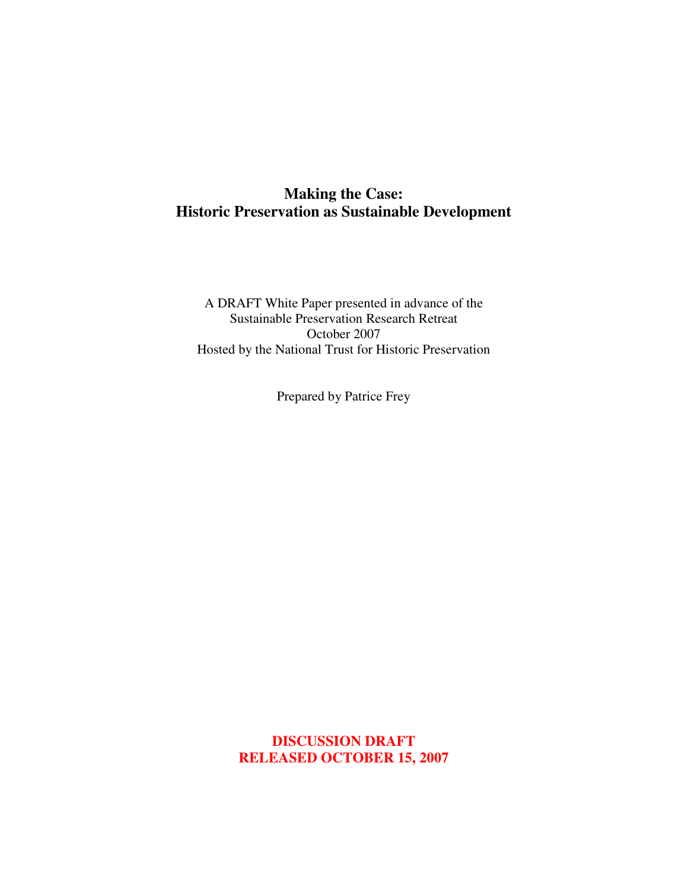# **Making the Case: Historic Preservation as Sustainable Development**

A DRAFT White Paper presented in advance of the Sustainable Preservation Research Retreat October 2007 Hosted by the National Trust for Historic Preservation

Prepared by Patrice Frey

**DISCUSSION DRAFT RELEASED OCTOBER 15, 2007**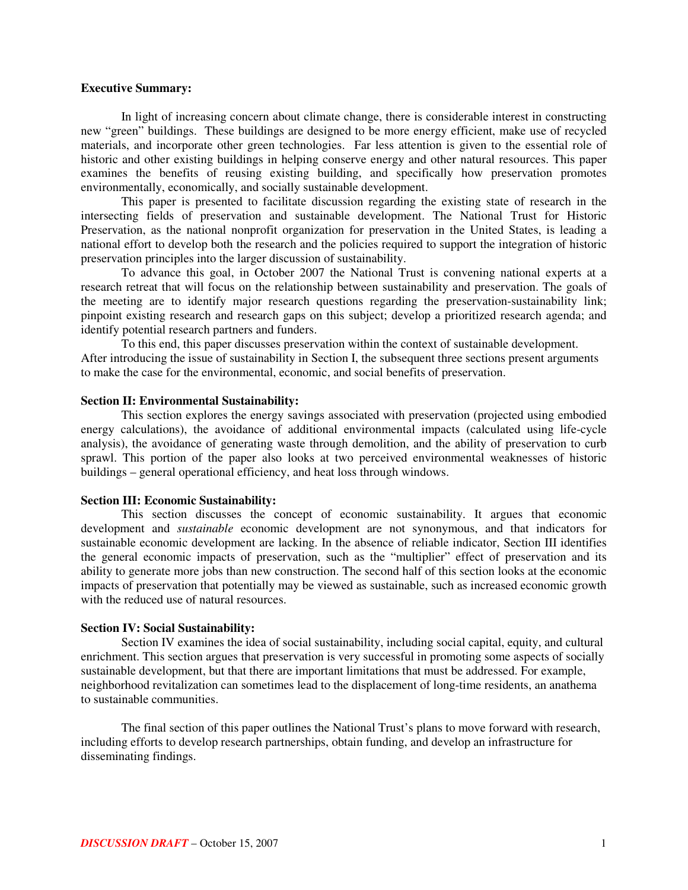#### **Executive Summary:**

In light of increasing concern about climate change, there is considerable interest in constructing new "green" buildings. These buildings are designed to be more energy efficient, make use of recycled materials, and incorporate other green technologies. Far less attention is given to the essential role of historic and other existing buildings in helping conserve energy and other natural resources. This paper examines the benefits of reusing existing building, and specifically how preservation promotes environmentally, economically, and socially sustainable development.

This paper is presented to facilitate discussion regarding the existing state of research in the intersecting fields of preservation and sustainable development. The National Trust for Historic Preservation, as the national nonprofit organization for preservation in the United States, is leading a national effort to develop both the research and the policies required to support the integration of historic preservation principles into the larger discussion of sustainability.

To advance this goal, in October 2007 the National Trust is convening national experts at a research retreat that will focus on the relationship between sustainability and preservation. The goals of the meeting are to identify major research questions regarding the preservation-sustainability link; pinpoint existing research and research gaps on this subject; develop a prioritized research agenda; and identify potential research partners and funders.

To this end, this paper discusses preservation within the context of sustainable development. After introducing the issue of sustainability in Section I, the subsequent three sections present arguments to make the case for the environmental, economic, and social benefits of preservation.

#### **Section II: Environmental Sustainability:**

This section explores the energy savings associated with preservation (projected using embodied energy calculations), the avoidance of additional environmental impacts (calculated using life-cycle analysis), the avoidance of generating waste through demolition, and the ability of preservation to curb sprawl. This portion of the paper also looks at two perceived environmental weaknesses of historic buildings – general operational efficiency, and heat loss through windows.

#### **Section III: Economic Sustainability:**

This section discusses the concept of economic sustainability. It argues that economic development and *sustainable* economic development are not synonymous, and that indicators for sustainable economic development are lacking. In the absence of reliable indicator, Section III identifies the general economic impacts of preservation, such as the "multiplier" effect of preservation and its ability to generate more jobs than new construction. The second half of this section looks at the economic impacts of preservation that potentially may be viewed as sustainable, such as increased economic growth with the reduced use of natural resources.

#### **Section IV: Social Sustainability:**

Section IV examines the idea of social sustainability, including social capital, equity, and cultural enrichment. This section argues that preservation is very successful in promoting some aspects of socially sustainable development, but that there are important limitations that must be addressed. For example, neighborhood revitalization can sometimes lead to the displacement of long-time residents, an anathema to sustainable communities.

The final section of this paper outlines the National Trust's plans to move forward with research, including efforts to develop research partnerships, obtain funding, and develop an infrastructure for disseminating findings.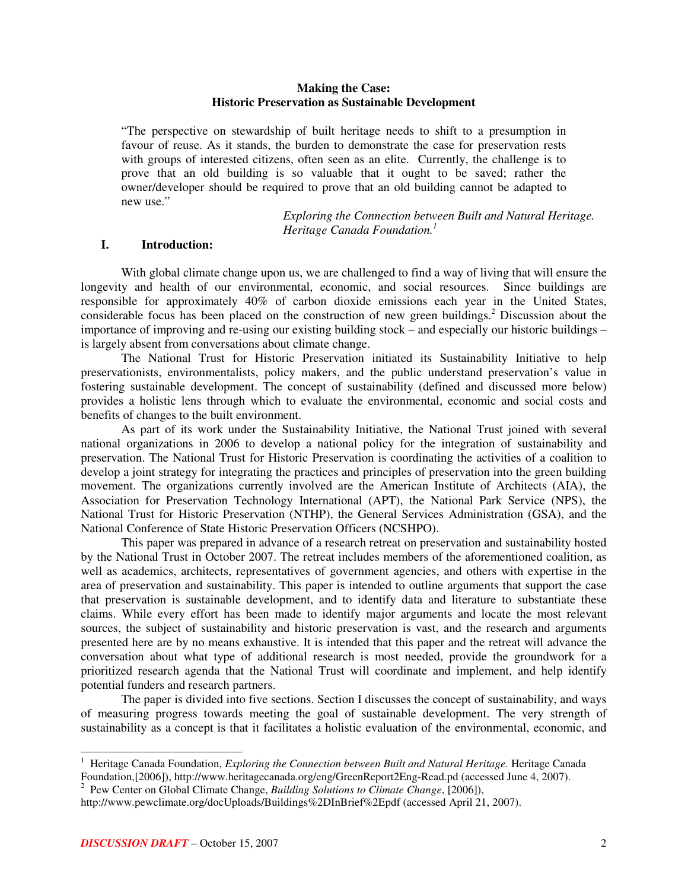#### **Making the Case: Historic Preservation as Sustainable Development**

"The perspective on stewardship of built heritage needs to shift to a presumption in favour of reuse. As it stands, the burden to demonstrate the case for preservation rests with groups of interested citizens, often seen as an elite. Currently, the challenge is to prove that an old building is so valuable that it ought to be saved; rather the owner/developer should be required to prove that an old building cannot be adapted to new use."

> *Exploring the Connection between Built and Natural Heritage. Heritage Canada Foundation. 1*

### **I. Introduction:**

With global climate change upon us, we are challenged to find a way of living that will ensure the longevity and health of our environmental, economic, and social resources. Since buildings are responsible for approximately 40% of carbon dioxide emissions each year in the United States, considerable focus has been placed on the construction of new green buildings. <sup>2</sup> Discussion about the importance of improving and re-using our existing building stock – and especially our historic buildings – is largely absent from conversations about climate change.

The National Trust for Historic Preservation initiated its Sustainability Initiative to help preservationists, environmentalists, policy makers, and the public understand preservation's value in fostering sustainable development. The concept of sustainability (defined and discussed more below) provides a holistic lens through which to evaluate the environmental, economic and social costs and benefits of changes to the built environment.

As part of its work under the Sustainability Initiative, the National Trust joined with several national organizations in 2006 to develop a national policy for the integration of sustainability and preservation. The National Trust for Historic Preservation is coordinating the activities of a coalition to develop a joint strategy for integrating the practices and principles of preservation into the green building movement. The organizations currently involved are the American Institute of Architects (AIA), the Association for Preservation Technology International (APT), the National Park Service (NPS), the National Trust for Historic Preservation (NTHP), the General Services Administration (GSA), and the National Conference of State Historic Preservation Officers (NCSHPO).

This paper was prepared in advance of a research retreat on preservation and sustainability hosted by the National Trust in October 2007. The retreat includes members of the aforementioned coalition, as well as academics, architects, representatives of government agencies, and others with expertise in the area of preservation and sustainability. This paper is intended to outline arguments that support the case that preservation is sustainable development, and to identify data and literature to substantiate these claims. While every effort has been made to identify major arguments and locate the most relevant sources, the subject of sustainability and historic preservation is vast, and the research and arguments presented here are by no means exhaustive. It is intended that this paper and the retreat will advance the conversation about what type of additional research is most needed, provide the groundwork for a prioritized research agenda that the National Trust will coordinate and implement, and help identify potential funders and research partners.

The paper is divided into five sections. Section I discusses the concept of sustainability, and ways of measuring progress towards meeting the goal of sustainable development. The very strength of sustainability as a concept is that it facilitates a holistic evaluation of the environmental, economic, and

<sup>1</sup> Heritage Canada Foundation, *Exploring the Connection between Built and Natural Heritage.* Heritage Canada Foundation,[2006]), http://www.heritagecanada.org/eng/GreenReport2Eng-Read.pd (accessed June 4, 2007).

<sup>2</sup> Pew Center on Global Climate Change, *Building Solutions to Climate Change*, [2006]),

http://www.pewclimate.org/docUploads/Buildings%2DInBrief%2Epdf (accessed April 21, 2007).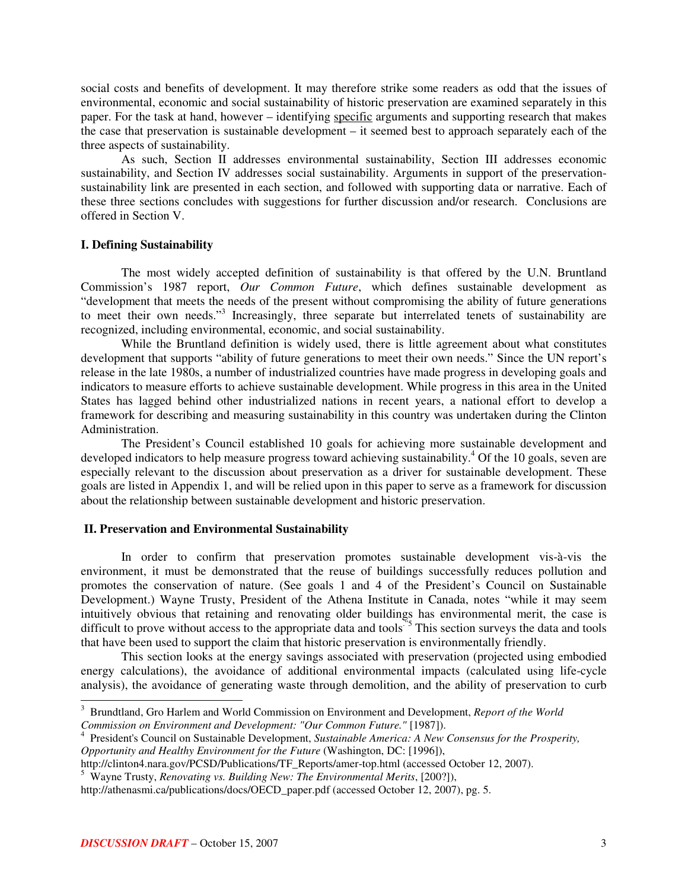social costs and benefits of development. It may therefore strike some readers as odd that the issues of environmental, economic and social sustainability of historic preservation are examined separately in this paper. For the task at hand, however – identifying specific arguments and supporting research that makes the case that preservation is sustainable development – it seemed best to approach separately each of the three aspects of sustainability.

As such, Section II addresses environmental sustainability, Section III addresses economic sustainability, and Section IV addresses social sustainability. Arguments in support of the preservationsustainability link are presented in each section, and followed with supporting data or narrative. Each of these three sections concludes with suggestions for further discussion and/or research. Conclusions are offered in Section V.

#### **I. Defining Sustainability**

The most widely accepted definition of sustainability is that offered by the U.N. Bruntland Commission's 1987 report, *Our Common Future*, which defines sustainable development as "development that meets the needs of the present without compromising the ability of future generations to meet their own needs."<sup>3</sup> Increasingly, three separate but interrelated tenets of sustainability are recognized, including environmental, economic, and social sustainability.

While the Bruntland definition is widely used, there is little agreement about what constitutes development that supports "ability of future generations to meet their own needs." Since the UN report's release in the late 1980s, a number of industrialized countries have made progress in developing goals and indicators to measure efforts to achieve sustainable development. While progress in this area in the United States has lagged behind other industrialized nations in recent years, a national effort to develop a framework for describing and measuring sustainability in this country was undertaken during the Clinton Administration.

The President's Council established 10 goals for achieving more sustainable development and developed indicators to help measure progress toward achieving sustainability.<sup>4</sup> Of the 10 goals, seven are especially relevant to the discussion about preservation as a driver for sustainable development. These goals are listed in Appendix 1, and will be relied upon in this paper to serve as a framework for discussion about the relationship between sustainable development and historic preservation.

#### **II. Preservation and Environmental Sustainability**

In order to confirm that preservation promotes sustainable development vis-à-vis the environment, it must be demonstrated that the reuse of buildings successfully reduces pollution and promotes the conservation of nature. (See goals 1 and 4 of the President's Council on Sustainable Development.) Wayne Trusty, President of the Athena Institute in Canada, notes "while it may seem intuitively obvious that retaining and renovating older buildings has environmental merit, the case is difficult to prove without access to the appropriate data and tools<sup>75</sup> This section surveys the data and tools that have been used to support the claim that historic preservation is environmentally friendly.

This section looks at the energy savings associated with preservation (projected using embodied energy calculations), the avoidance of additional environmental impacts (calculated using life-cycle analysis), the avoidance of generating waste through demolition, and the ability of preservation to curb

<sup>3</sup> Brundtland, Gro Harlem and World Commission on Environment and Development, *Report of the World*

*Commission on Environment and Development: "Our Common Future."* [1987]).

<sup>4</sup> President's Council on Sustainable Development, *Sustainable America: A New Consensus for the Prosperity, Opportunity and Healthy Environment for the Future* (Washington, DC: [1996]),

http://clinton4.nara.gov/PCSD/Publications/TF\_Reports/amer-top.html (accessed October 12, 2007).

<sup>5</sup> Wayne Trusty, *Renovating vs. Building New: The Environmental Merits*, [200?]),

http://athenasmi.ca/publications/docs/OECD\_paper.pdf (accessed October 12, 2007), pg. 5.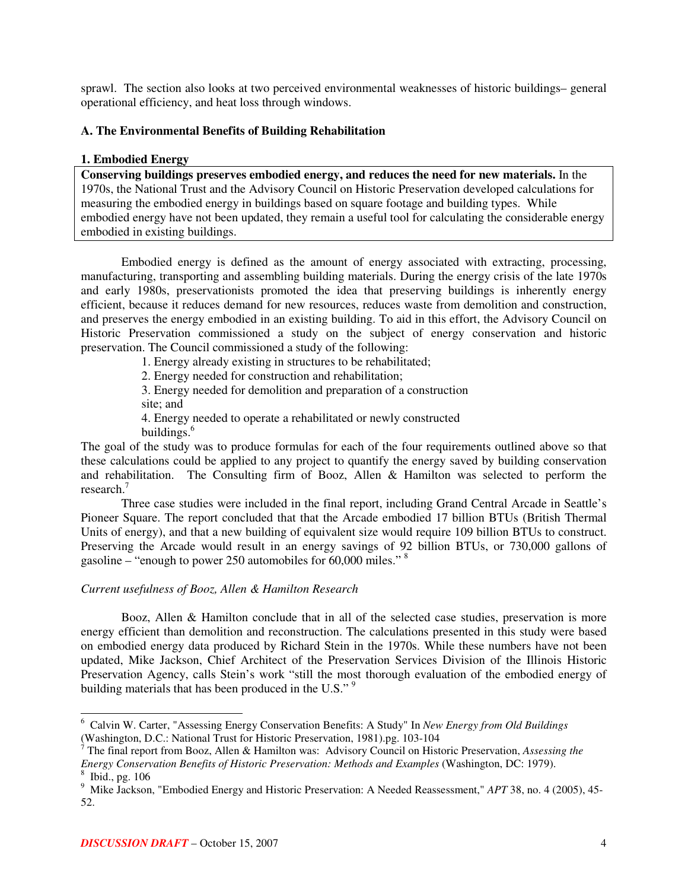sprawl. The section also looks at two perceived environmental weaknesses of historic buildings– general operational efficiency, and heat loss through windows.

## **A. The Environmental Benefits of Building Rehabilitation**

## **1. Embodied Energy**

**Conserving buildings preserves embodied energy, and reduces the need for new materials.** In the 1970s, the National Trust and the Advisory Council on Historic Preservation developed calculations for measuring the embodied energy in buildings based on square footage and building types. While embodied energy have not been updated, they remain a useful tool for calculating the considerable energy embodied in existing buildings.

Embodied energy is defined as the amount of energy associated with extracting, processing, manufacturing, transporting and assembling building materials. During the energy crisis of the late 1970s and early 1980s, preservationists promoted the idea that preserving buildings is inherently energy efficient, because it reduces demand for new resources, reduces waste from demolition and construction, and preserves the energy embodied in an existing building. To aid in this effort, the Advisory Council on Historic Preservation commissioned a study on the subject of energy conservation and historic preservation. The Council commissioned a study of the following:

1. Energy already existing in structures to be rehabilitated;

2. Energy needed for construction and rehabilitation;

3. Energy needed for demolition and preparation of a construction site; and

4. Energy needed to operate a rehabilitated or newly constructed buildings. 6

The goal of the study was to produce formulas for each of the four requirements outlined above so that these calculations could be applied to any project to quantify the energy saved by building conservation and rehabilitation. The Consulting firm of Booz, Allen & Hamilton was selected to perform the research. 7

Three case studies were included in the final report, including Grand Central Arcade in Seattle's Pioneer Square. The report concluded that that the Arcade embodied 17 billion BTUs (British Thermal Units of energy), and that a new building of equivalent size would require 109 billion BTUs to construct. Preserving the Arcade would result in an energy savings of 92 billion BTUs, or 730,000 gallons of gasoline – "enough to power 250 automobiles for 60,000 miles."<sup>8</sup>

## *Current usefulness of Booz, Allen & Hamilton Research*

Booz, Allen & Hamilton conclude that in all of the selected case studies, preservation is more energy efficient than demolition and reconstruction. The calculations presented in this study were based on embodied energy data produced by Richard Stein in the 1970s. While these numbers have not been updated, Mike Jackson, Chief Architect of the Preservation Services Division of the Illinois Historic Preservation Agency, calls Stein's work "still the most thorough evaluation of the embodied energy of building materials that has been produced in the U.S."<sup>9</sup>

<sup>6</sup> Calvin W. Carter, "Assessing Energy Conservation Benefits: A Study" In *New Energy from Old Buildings* (Washington, D.C.: National Trust for Historic Preservation, 1981).pg. 103-104

<sup>7</sup> The final report from Booz, Allen & Hamilton was: Advisory Council on Historic Preservation, *Assessing the Energy Conservation Benefits of Historic Preservation: Methods and Examples* (Washington, DC: 1979). 8 Ibid., pg. 106

<sup>&</sup>lt;sup>9</sup> Mike Jackson, "Embodied Energy and Historic Preservation: A Needed Reassessment," *APT* 38, no. 4 (2005), 45-52.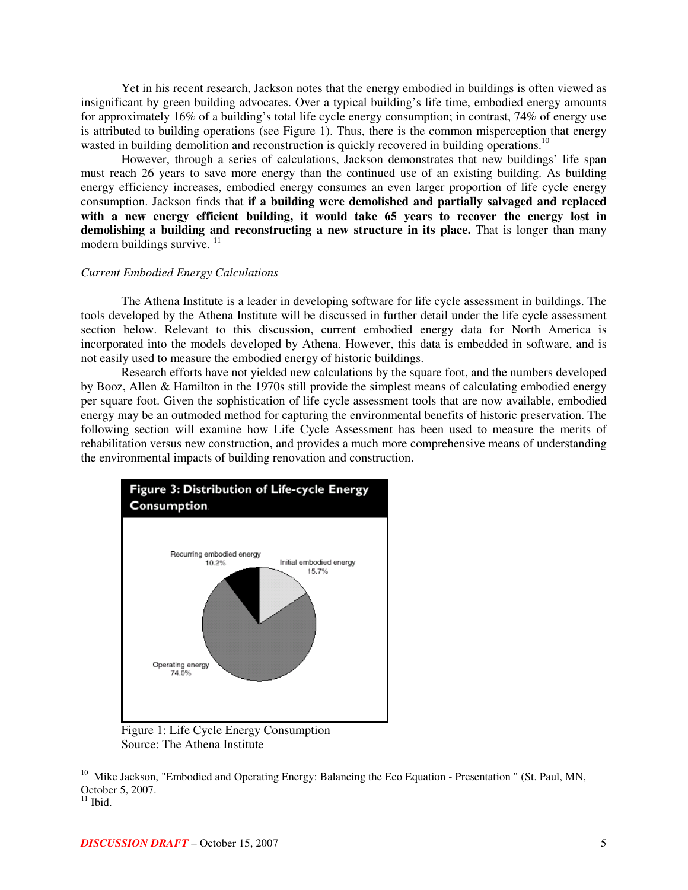Yet in his recent research, Jackson notes that the energy embodied in buildings is often viewed as insignificant by green building advocates. Over a typical building's life time, embodied energy amounts for approximately 16% of a building's total life cycle energy consumption; in contrast, 74% of energy use is attributed to building operations (see Figure 1). Thus, there is the common misperception that energy wasted in building demolition and reconstruction is quickly recovered in building operations.<sup>10</sup>

However, through a series of calculations, Jackson demonstrates that new buildings' life span must reach 26 years to save more energy than the continued use of an existing building. As building energy efficiency increases, embodied energy consumes an even larger proportion of life cycle energy consumption. Jackson finds that **if a building were demolished and partially salvaged and replaced with a new energy efficient building, it would take 65 years to recover the energy lost in demolishing a building and reconstructing a new structure in its place.** That is longer than many modern buildings survive. 11

#### *Current Embodied Energy Calculations*

The Athena Institute is a leader in developing software for life cycle assessment in buildings. The tools developed by the Athena Institute will be discussed in further detail under the life cycle assessment section below. Relevant to this discussion, current embodied energy data for North America is incorporated into the models developed by Athena. However, this data is embedded in software, and is not easily used to measure the embodied energy of historic buildings.

Research efforts have not yielded new calculations by the square foot, and the numbers developed by Booz, Allen & Hamilton in the 1970s still provide the simplest means of calculating embodied energy per square foot. Given the sophistication of life cycle assessment tools that are now available, embodied energy may be an outmoded method for capturing the environmental benefits of historic preservation. The following section will examine how Life Cycle Assessment has been used to measure the merits of rehabilitation versus new construction, and provides a much more comprehensive means of understanding the environmental impacts of building renovation and construction.



Figure 1: Life Cycle Energy Consumption Source: The Athena Institute

<sup>&</sup>lt;sup>10</sup> Mike Jackson, "Embodied and Operating Energy: Balancing the Eco Equation - Presentation " (St. Paul, MN, October 5, 2007.

 $11$  Ibid.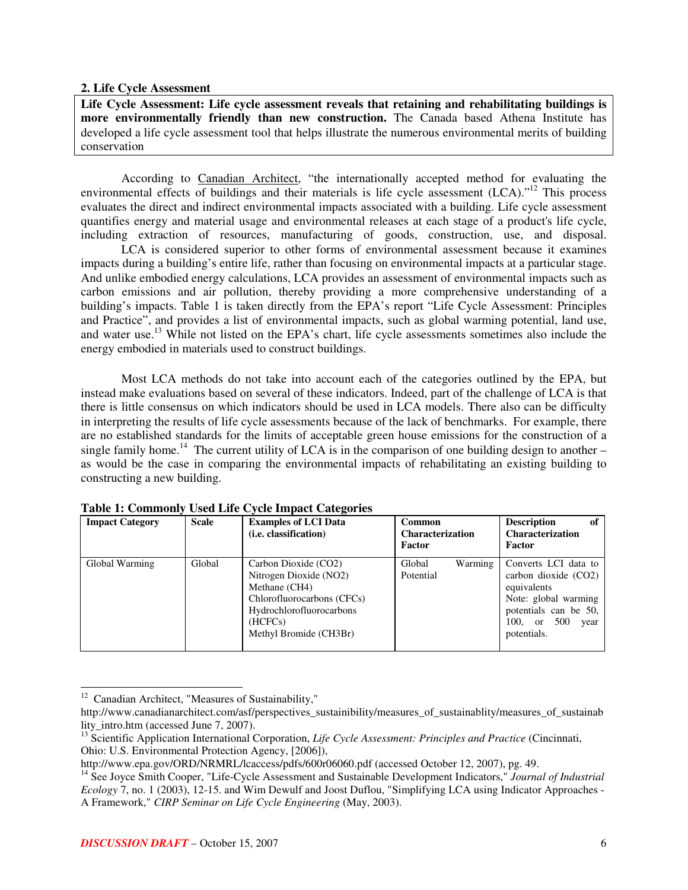#### **2. Life Cycle Assessment**

**Life Cycle Assessment: Life cycle assessment reveals that retaining and rehabilitating buildings is more environmentally friendly than new construction.** The Canada based Athena Institute has developed a life cycle assessment tool that helps illustrate the numerous environmental merits of building conservation

According to Canadian Architect, "the internationally accepted method for evaluating the environmental effects of buildings and their materials is life cycle assessment (LCA)."<sup>12</sup> This process evaluates the direct and indirect environmental impacts associated with a building. Life cycle assessment quantifies energy and material usage and environmental releases at each stage of a product's life cycle, including extraction of resources, manufacturing of goods, construction, use, and disposal.

LCA is considered superior to other forms of environmental assessment because it examines impacts during a building's entire life, rather than focusing on environmental impacts at a particular stage. And unlike embodied energy calculations, LCA provides an assessment of environmental impacts such as carbon emissions and air pollution, thereby providing a more comprehensive understanding of a building's impacts. Table 1 is taken directly from the EPA's report "Life Cycle Assessment: Principles and Practice", and provides a list of environmental impacts, such as global warming potential, land use, and water use.<sup>13</sup> While not listed on the EPA's chart, life cycle assessments sometimes also include the energy embodied in materials used to construct buildings.

Most LCA methods do not take into account each of the categories outlined by the EPA, but instead make evaluations based on several of these indicators. Indeed, part of the challenge of LCA is that there is little consensus on which indicators should be used in LCA models. There also can be difficulty in interpreting the results of life cycle assessments because of the lack of benchmarks. For example, there are no established standards for the limits of acceptable green house emissions for the construction of a single family home.<sup>14</sup> The current utility of LCA is in the comparison of one building design to another  $$ as would be the case in comparing the environmental impacts of rehabilitating an existing building to constructing a new building.

| <b>Impact Category</b> | <b>Scale</b> | <b>Examples of LCI Data</b><br>( <i>i.e.</i> classification)                                                                                                   | <b>Common</b><br><b>Characterization</b><br>Factor | <b>Description</b><br>of<br><b>Characterization</b><br>Factor                                                                                           |
|------------------------|--------------|----------------------------------------------------------------------------------------------------------------------------------------------------------------|----------------------------------------------------|---------------------------------------------------------------------------------------------------------------------------------------------------------|
| Global Warming         | Global       | Carbon Dioxide (CO2)<br>Nitrogen Dioxide (NO2)<br>Methane (CH4)<br>Chlorofluorocarbons (CFCs)<br>Hydrochlorofluorocarbons<br>(HCFCs)<br>Methyl Bromide (CH3Br) | Global<br>Warming<br>Potential                     | Converts LCI data to<br>carbon dioxide (CO2)<br>equivalents<br>Note: global warming<br>potentials can be 50,<br>$100.$ or<br>500<br>year<br>potentials. |

#### **Table 1: Commonly Used Life Cycle Impact Categories**

<sup>&</sup>lt;sup>12</sup> Canadian Architect, "Measures of Sustainability,"

http://www.canadianarchitect.com/asf/perspectives\_sustainibility/measures\_of\_sustainablity/measures\_of\_sustainab lity\_intro.htm (accessed June 7, 2007).

<sup>13</sup> Scientific Application International Corporation, *Life Cycle Assessment: Principles and Practice* (Cincinnati, Ohio: U.S. Environmental Protection Agency, [2006]),

http://www.epa.gov/ORD/NRMRL/lcaccess/pdfs/600r06060.pdf (accessed October 12, 2007), pg. 49.

<sup>14</sup> See Joyce Smith Cooper, "Life-Cycle Assessment and Sustainable Development Indicators," *Journal of Industrial Ecology* 7, no. 1 (2003), 12-15. and Wim Dewulf and Joost Duflou, "Simplifying LCA using Indicator Approaches - A Framework," *CIRP Seminar on Life Cycle Engineering* (May, 2003).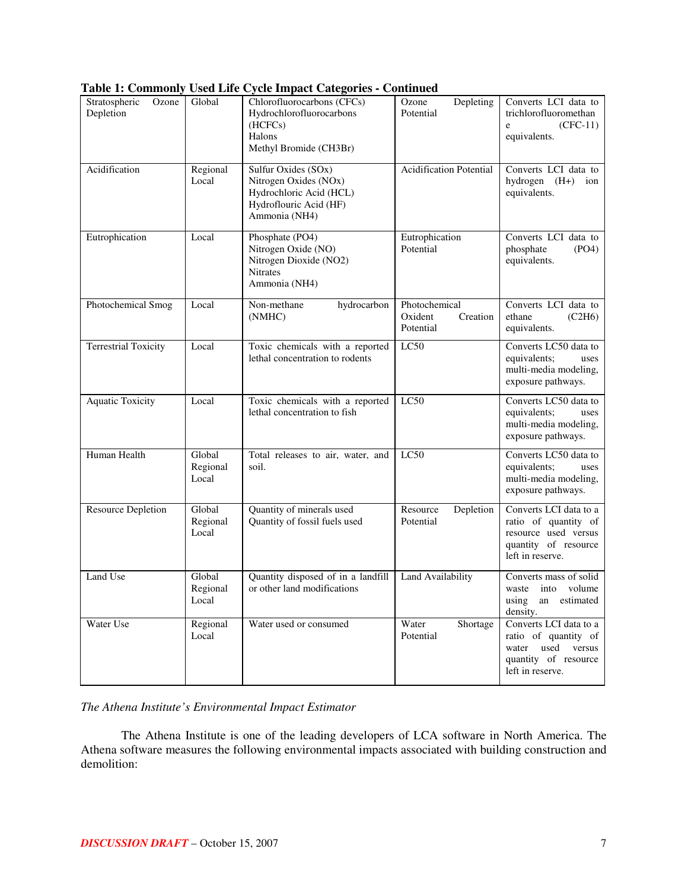|                                     |                             | Table 1: Commonly Used Life Cycle Impact Categories - Continued                                                    |                                                   |                                                                                                                       |
|-------------------------------------|-----------------------------|--------------------------------------------------------------------------------------------------------------------|---------------------------------------------------|-----------------------------------------------------------------------------------------------------------------------|
| Stratospheric<br>Ozone<br>Depletion | Global                      | Chlorofluorocarbons (CFCs)<br>Hydrochlorofluorocarbons<br>(HCFCs)<br>Halons<br>Methyl Bromide (CH3Br)              | Depleting<br>Ozone<br>Potential                   | Converts LCI data to<br>trichlorofluoromethan<br>$(CFC-11)$<br>e<br>equivalents.                                      |
| Acidification                       | Regional<br>Local           | Sulfur Oxides (SOx)<br>Nitrogen Oxides (NOx)<br>Hydrochloric Acid (HCL)<br>Hydroflouric Acid (HF)<br>Ammonia (NH4) | <b>Acidification Potential</b>                    | Converts LCI data to<br>hydrogen (H+) ion<br>equivalents.                                                             |
| Eutrophication                      | Local                       | Phosphate (PO4)<br>Nitrogen Oxide (NO)<br>Nitrogen Dioxide (NO2)<br><b>Nitrates</b><br>Ammonia (NH4)               | Eutrophication<br>Potential                       | Converts LCI data to<br>phosphate<br>(PO4)<br>equivalents.                                                            |
| Photochemical Smog                  | Local                       | Non-methane<br>hydrocarbon<br>(NMHC)                                                                               | Photochemical<br>Oxident<br>Creation<br>Potential | Converts LCI data to<br>(C2H6)<br>ethane<br>equivalents.                                                              |
| <b>Terrestrial Toxicity</b>         | Local                       | Toxic chemicals with a reported<br>lethal concentration to rodents                                                 | LC50                                              | Converts LC50 data to<br>equivalents;<br>uses<br>multi-media modeling,<br>exposure pathways.                          |
| <b>Aquatic Toxicity</b>             | Local                       | Toxic chemicals with a reported<br>lethal concentration to fish                                                    | LC50                                              | Converts LC50 data to<br>equivalents;<br>uses<br>multi-media modeling,<br>exposure pathways.                          |
| Human Health                        | Global<br>Regional<br>Local | Total releases to air, water, and<br>soil.                                                                         | LC50                                              | Converts LC50 data to<br>equivalents;<br>uses<br>multi-media modeling,<br>exposure pathways.                          |
| <b>Resource Depletion</b>           | Global<br>Regional<br>Local | Quantity of minerals used<br>Quantity of fossil fuels used                                                         | Resource<br>Depletion<br>Potential                | Converts LCI data to a<br>ratio of quantity of<br>resource used versus<br>quantity of resource<br>left in reserve.    |
| Land Use                            | Global<br>Regional<br>Local | Quantity disposed of in a landfill<br>or other land modifications                                                  | Land Availability                                 | Converts mass of solid<br>waste into volume<br>using<br>estimated<br>an<br>density.                                   |
| Water Use                           | Regional<br>Local           | Water used or consumed                                                                                             | Water<br>Shortage<br>Potential                    | Converts LCI data to a<br>ratio of quantity of<br>used<br>water<br>versus<br>quantity of resource<br>left in reserve. |

| Table 1: Commonly Used Life Cycle Impact Categories - Continued |  |  |  |  |
|-----------------------------------------------------------------|--|--|--|--|
|-----------------------------------------------------------------|--|--|--|--|

## *The Athena Institute's Environmental Impact Estimator*

The Athena Institute is one of the leading developers of LCA software in North America. The Athena software measures the following environmental impacts associated with building construction and demolition: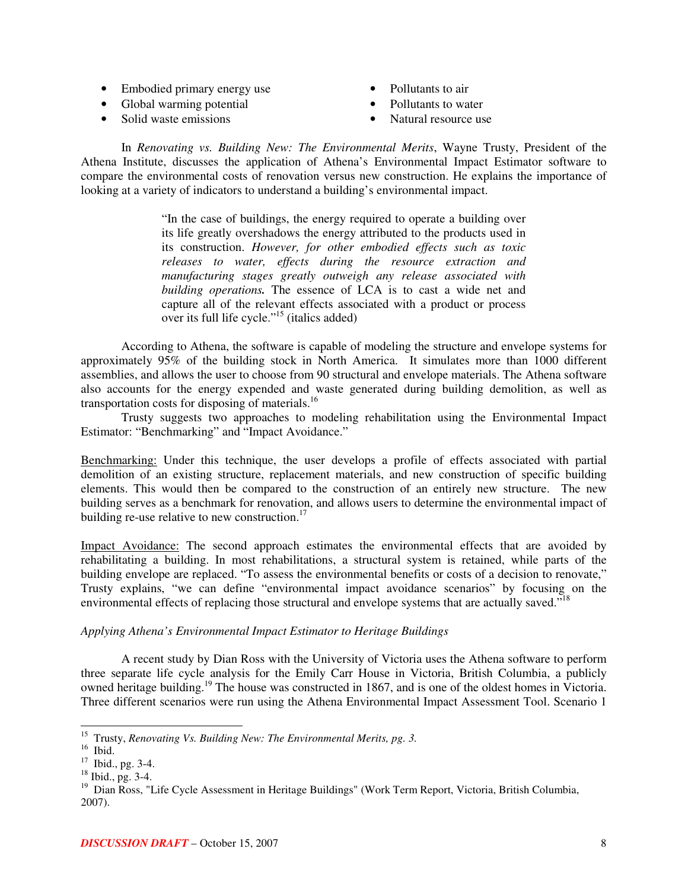- Embodied primary energy use
- Global warming potential
- Solid waste emissions
- Pollutants to air
- Pollutants to water
- Natural resource use

In *Renovating vs. Building New: The Environmental Merits*, Wayne Trusty, President of the Athena Institute, discusses the application of Athena's Environmental Impact Estimator software to compare the environmental costs of renovation versus new construction. He explains the importance of looking at a variety of indicators to understand a building's environmental impact.

> "In the case of buildings, the energy required to operate a building over its life greatly overshadows the energy attributed to the products used in its construction. *However, for other embodied effects such as toxic releases to water, effects during the resource extraction and manufacturing stages greatly outweigh any release associated with building operations.* The essence of LCA is to cast a wide net and capture all of the relevant effects associated with a product or process over its full life cycle." 15 (italics added)

According to Athena, the software is capable of modeling the structure and envelope systems for approximately 95% of the building stock in North America. It simulates more than 1000 different assemblies, and allows the user to choose from 90 structural and envelope materials. The Athena software also accounts for the energy expended and waste generated during building demolition, as well as transportation costs for disposing of materials.<sup>16</sup>

Trusty suggests two approaches to modeling rehabilitation using the Environmental Impact Estimator: "Benchmarking" and "Impact Avoidance."

Benchmarking: Under this technique, the user develops a profile of effects associated with partial demolition of an existing structure, replacement materials, and new construction of specific building elements. This would then be compared to the construction of an entirely new structure. The new building serves as a benchmark for renovation, and allows users to determine the environmental impact of building re-use relative to new construction.<sup>17</sup>

Impact Avoidance: The second approach estimates the environmental effects that are avoided by rehabilitating a building. In most rehabilitations, a structural system is retained, while parts of the building envelope are replaced. "To assess the environmental benefits or costs of a decision to renovate," Trusty explains, "we can define "environmental impact avoidance scenarios" by focusing on the environmental effects of replacing those structural and envelope systems that are actually saved."<sup>18</sup>

## *Applying Athena's Environmental Impact Estimator to Heritage Buildings*

A recent study by Dian Ross with the University of Victoria uses the Athena software to perform three separate life cycle analysis for the Emily Carr House in Victoria, British Columbia, a publicly owned heritage building.<sup>19</sup> The house was constructed in 1867, and is one of the oldest homes in Victoria. Three different scenarios were run using the Athena Environmental Impact Assessment Tool. Scenario 1

<sup>15</sup> Trusty, *Renovating Vs. Building New: The Environmental Merits, pg. 3.*

<sup>16</sup> Ibid.

 $17$  Ibid., pg. 3-4.

<sup>18</sup> Ibid., pg. 3-4.

<sup>&</sup>lt;sup>19</sup> Dian Ross, "Life Cycle Assessment in Heritage Buildings" (Work Term Report, Victoria, British Columbia, 2007).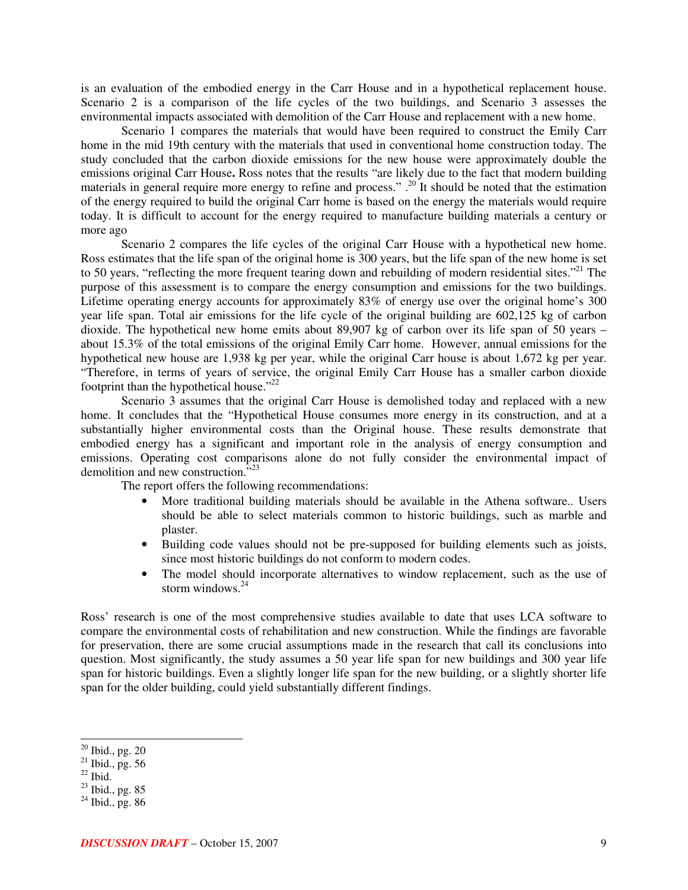is an evaluation of the embodied energy in the Carr House and in a hypothetical replacement house. Scenario 2 is a comparison of the life cycles of the two buildings, and Scenario 3 assesses the environmental impacts associated with demolition of the Carr House and replacement with a new home.

Scenario 1 compares the materials that would have been required to construct the Emily Carr home in the mid 19th century with the materials that used in conventional home construction today. The study concluded that the carbon dioxide emissions for the new house were approximately double the emissions original Carr House**.** Ross notes that the results "are likely due to the fact that modern building materials in general require more energy to refine and process." .<sup>20</sup> It should be noted that the estimation of the energy required to build the original Carr home is based on the energy the materials would require today. It is difficult to account for the energy required to manufacture building materials a century or more ago

Scenario 2 compares the life cycles of the original Carr House with a hypothetical new home. Ross estimates that the life span of the original home is 300 years, but the life span of the new home is set to 50 years, "reflecting the more frequent tearing down and rebuilding of modern residential sites."<sup>21</sup> The purpose of this assessment is to compare the energy consumption and emissions for the two buildings. Lifetime operating energy accounts for approximately 83% of energy use over the original home's 300 year life span. Total air emissions for the life cycle of the original building are 602,125 kg of carbon dioxide. The hypothetical new home emits about 89,907 kg of carbon over its life span of 50 years – about 15.3% of the total emissions of the original Emily Carr home. However, annual emissions for the hypothetical new house are 1,938 kg per year, while the original Carr house is about 1,672 kg per year. "Therefore, in terms of years of service, the original Emily Carr House has a smaller carbon dioxide footprint than the hypothetical house."<sup>22</sup>

Scenario 3 assumes that the original Carr House is demolished today and replaced with a new home. It concludes that the "Hypothetical House consumes more energy in its construction, and at a substantially higher environmental costs than the Original house. These results demonstrate that embodied energy has a significant and important role in the analysis of energy consumption and emissions. Operating cost comparisons alone do not fully consider the environmental impact of demolition and new construction.<sup>723</sup>

The report offers the following recommendations:

- More traditional building materials should be available in the Athena software.. Users should be able to select materials common to historic buildings, such as marble and plaster.
- Building code values should not be pre-supposed for building elements such as joists, since most historic buildings do not conform to modern codes.
- The model should incorporate alternatives to window replacement, such as the use of storm windows. 24

Ross' research is one of the most comprehensive studies available to date that uses LCA software to compare the environmental costs of rehabilitation and new construction. While the findings are favorable for preservation, there are some crucial assumptions made in the research that call its conclusions into question. Most significantly, the study assumes a 50 year life span for new buildings and 300 year life span for historic buildings. Even a slightly longer life span for the new building, or a slightly shorter life span for the older building, could yield substantially different findings.

 $20$  Ibid., pg.  $20$ 

 $^{21}$  Ibid., pg. 56<br> $^{22}$  Ibid.

 $^{23}$  Ibid., pg. 85

 $24$  Ibid., pg. 86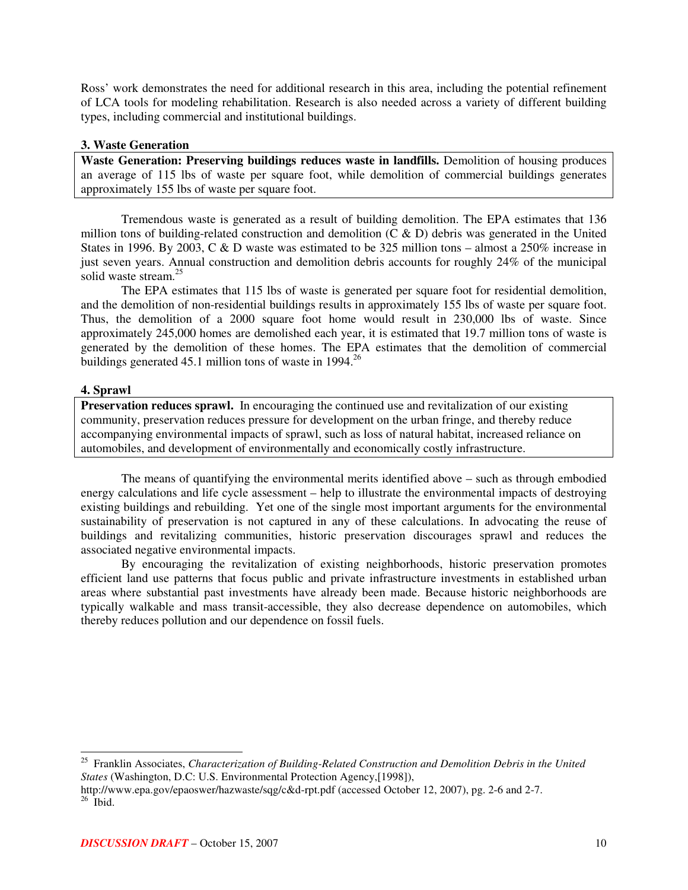Ross' work demonstrates the need for additional research in this area, including the potential refinement of LCA tools for modeling rehabilitation. Research is also needed across a variety of different building types, including commercial and institutional buildings.

## **3. Waste Generation**

**Waste Generation: Preserving buildings reduces waste in landfills.** Demolition of housing produces an average of 115 lbs of waste per square foot, while demolition of commercial buildings generates approximately 155 lbs of waste per square foot.

Tremendous waste is generated as a result of building demolition. The EPA estimates that 136 million tons of building-related construction and demolition  $(C & D)$  debris was generated in the United States in 1996. By 2003, C & D waste was estimated to be 325 million tons – almost a 250% increase in just seven years. Annual construction and demolition debris accounts for roughly 24% of the municipal solid waste stream. 25

The EPA estimates that 115 lbs of waste is generated per square foot for residential demolition, and the demolition of non-residential buildings results in approximately 155 lbs of waste per square foot. Thus, the demolition of a 2000 square foot home would result in 230,000 lbs of waste. Since approximately 245,000 homes are demolished each year, it is estimated that 19.7 million tons of waste is generated by the demolition of these homes. The EPA estimates that the demolition of commercial buildings generated 45.1 million tons of waste in 1994.<sup>26</sup>

## **4. Sprawl**

**Preservation reduces sprawl.** In encouraging the continued use and revitalization of our existing community, preservation reduces pressure for development on the urban fringe, and thereby reduce accompanying environmental impacts of sprawl, such as loss of natural habitat, increased reliance on automobiles, and development of environmentally and economically costly infrastructure.

The means of quantifying the environmental merits identified above – such as through embodied energy calculations and life cycle assessment – help to illustrate the environmental impacts of destroying existing buildings and rebuilding. Yet one of the single most important arguments for the environmental sustainability of preservation is not captured in any of these calculations. In advocating the reuse of buildings and revitalizing communities, historic preservation discourages sprawl and reduces the associated negative environmental impacts.

By encouraging the revitalization of existing neighborhoods, historic preservation promotes efficient land use patterns that focus public and private infrastructure investments in established urban areas where substantial past investments have already been made. Because historic neighborhoods are typically walkable and mass transit-accessible, they also decrease dependence on automobiles, which thereby reduces pollution and our dependence on fossil fuels.

<sup>25</sup> Franklin Associates, *Characterization of Building-Related Construction and Demolition Debris in the United States* (Washington, D.C: U.S. Environmental Protection Agency,[1998]),

http://www.epa.gov/epaoswer/hazwaste/sqg/c&d-rpt.pdf (accessed October 12, 2007), pg. 2-6 and 2-7.  $26$  Ibid.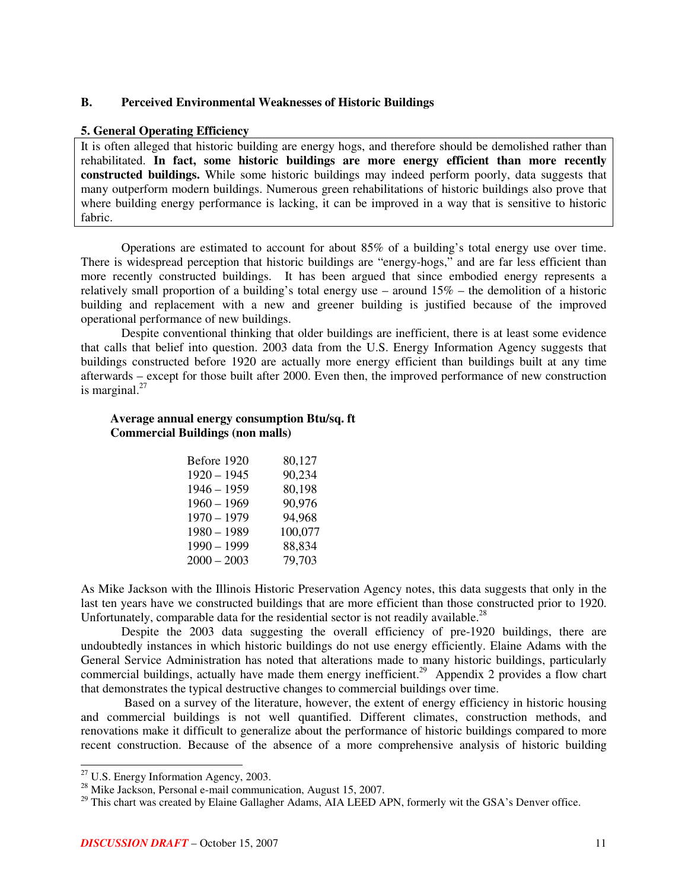## **B. Perceived Environmental Weaknesses of Historic Buildings**

#### **5. General Operating Efficiency**

It is often alleged that historic building are energy hogs, and therefore should be demolished rather than rehabilitated. **In fact, some historic buildings are more energy efficient than more recently constructed buildings.** While some historic buildings may indeed perform poorly, data suggests that many outperform modern buildings. Numerous green rehabilitations of historic buildings also prove that where building energy performance is lacking, it can be improved in a way that is sensitive to historic fabric.

Operations are estimated to account for about 85% of a building's total energy use over time. There is widespread perception that historic buildings are "energy-hogs," and are far less efficient than more recently constructed buildings. It has been argued that since embodied energy represents a relatively small proportion of a building's total energy use – around  $15%$  – the demolition of a historic building and replacement with a new and greener building is justified because of the improved operational performance of new buildings.

Despite conventional thinking that older buildings are inefficient, there is at least some evidence that calls that belief into question. 2003 data from the U.S. Energy Information Agency suggests that buildings constructed before 1920 are actually more energy efficient than buildings built at any time afterwards – except for those built after 2000. Even then, the improved performance of new construction is marginal.<sup>27</sup>

## **Average annual energy consumption Btu/sq. ft Commercial Buildings (non malls)**

| Before 1920   | 80.127  |
|---------------|---------|
| $1920 - 1945$ | 90.234  |
| $1946 - 1959$ | 80.198  |
| $1960 - 1969$ | 90,976  |
| $1970 - 1979$ | 94.968  |
| $1980 - 1989$ | 100.077 |
| $1990 - 1999$ | 88.834  |
| $2000 - 2003$ | 79,703  |

As Mike Jackson with the Illinois Historic Preservation Agency notes, this data suggests that only in the last ten years have we constructed buildings that are more efficient than those constructed prior to 1920. Unfortunately, comparable data for the residential sector is not readily available.<sup>28</sup>

Despite the 2003 data suggesting the overall efficiency of pre-1920 buildings, there are undoubtedly instances in which historic buildings do not use energy efficiently. Elaine Adams with the General Service Administration has noted that alterations made to many historic buildings, particularly commercial buildings, actually have made them energy inefficient.<sup>29</sup> Appendix 2 provides a flow chart that demonstrates the typical destructive changes to commercial buildings over time.

Based on a survey of the literature, however, the extent of energy efficiency in historic housing and commercial buildings is not well quantified. Different climates, construction methods, and renovations make it difficult to generalize about the performance of historic buildings compared to more recent construction. Because of the absence of a more comprehensive analysis of historic building

 $27$  U.S. Energy Information Agency, 2003.

 $^{28}$  Mike Jackson, Personal e-mail communication, August 15, 2007.

<sup>&</sup>lt;sup>29</sup> This chart was created by Elaine Gallagher Adams, AIA LEED APN, formerly wit the GSA's Denver office.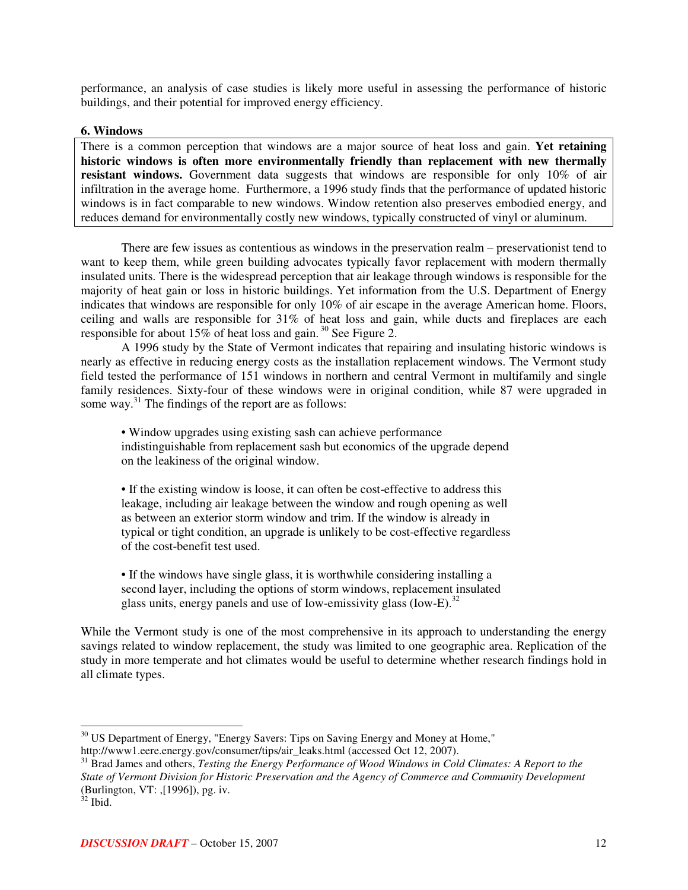performance, an analysis of case studies is likely more useful in assessing the performance of historic buildings, and their potential for improved energy efficiency.

## **6. Windows**

There is a common perception that windows are a major source of heat loss and gain. **Yet retaining historic windows is often more environmentally friendly than replacement with new thermally resistant windows.** Government data suggests that windows are responsible for only 10% of air infiltration in the average home. Furthermore, a 1996 study finds that the performance of updated historic windows is in fact comparable to new windows. Window retention also preserves embodied energy, and reduces demand for environmentally costly new windows, typically constructed of vinyl or aluminum.

There are few issues as contentious as windows in the preservation realm – preservationist tend to want to keep them, while green building advocates typically favor replacement with modern thermally insulated units. There is the widespread perception that air leakage through windows is responsible for the majority of heat gain or loss in historic buildings. Yet information from the U.S. Department of Energy indicates that windows are responsible for only 10% of air escape in the average American home. Floors, ceiling and walls are responsible for 31% of heat loss and gain, while ducts and fireplaces are each responsible for about 15% of heat loss and gain.<sup>30</sup> See Figure 2.

A 1996 study by the State of Vermont indicates that repairing and insulating historic windows is nearly as effective in reducing energy costs as the installation replacement windows. The Vermont study field tested the performance of 151 windows in northern and central Vermont in multifamily and single family residences. Sixty-four of these windows were in original condition, while 87 were upgraded in some way.<sup>31</sup> The findings of the report are as follows:

• Window upgrades using existing sash can achieve performance indistinguishable from replacement sash but economics of the upgrade depend on the leakiness of the original window.

• If the existing window is loose, it can often be cost-effective to address this leakage, including air leakage between the window and rough opening as well as between an exterior storm window and trim. If the window is already in typical or tight condition, an upgrade is unlikely to be cost-effective regardless of the cost-benefit test used.

• If the windows have single glass, it is worthwhile considering installing a second layer, including the options of storm windows, replacement insulated glass units, energy panels and use of Iow-emissivity glass (Iow-E).<sup>32</sup>

While the Vermont study is one of the most comprehensive in its approach to understanding the energy savings related to window replacement, the study was limited to one geographic area. Replication of the study in more temperate and hot climates would be useful to determine whether research findings hold in all climate types.

 $30 \text{ US Department of Energy, "Energy Savers: Tips on Saving Energy and Money at Home,"}$ http://www1.eere.energy.gov/consumer/tips/air\_leaks.html (accessed Oct 12, 2007).

<sup>31</sup> Brad James and others, *Testing the Energy Performance of Wood Windows in Cold Climates: A Report to the State of Vermont Division for Historic Preservation and the Agency of Commerce and Community Development* (Burlington, VT: ,[1996]), pg. iv.

 $32$  Ibid.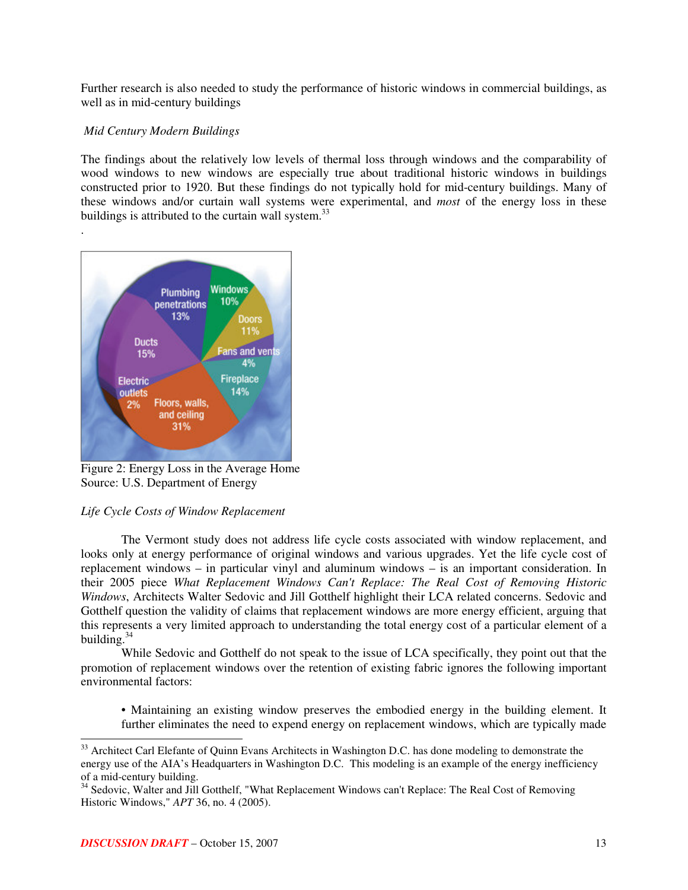Further research is also needed to study the performance of historic windows in commercial buildings, as well as in mid-century buildings

## *Mid Century Modern Buildings*

.

The findings about the relatively low levels of thermal loss through windows and the comparability of wood windows to new windows are especially true about traditional historic windows in buildings constructed prior to 1920. But these findings do not typically hold for mid-century buildings. Many of these windows and/or curtain wall systems were experimental, and *most* of the energy loss in these buildings is attributed to the curtain wall system.<sup>33</sup>



Figure 2: Energy Loss in the Average Home Source: U.S. Department of Energy

## *Life Cycle Costs of Window Replacement*

The Vermont study does not address life cycle costs associated with window replacement, and looks only at energy performance of original windows and various upgrades. Yet the life cycle cost of replacement windows – in particular vinyl and aluminum windows – is an important consideration. In their 2005 piece *What Replacement Windows Can't Replace: The Real Cost of Removing Historic Windows*, Architects Walter Sedovic and Jill Gotthelf highlight their LCA related concerns. Sedovic and Gotthelf question the validity of claims that replacement windows are more energy efficient, arguing that this represents a very limited approach to understanding the total energy cost of a particular element of a building. 34

While Sedovic and Gotthelf do not speak to the issue of LCA specifically, they point out that the promotion of replacement windows over the retention of existing fabric ignores the following important environmental factors:

• Maintaining an existing window preserves the embodied energy in the building element. It further eliminates the need to expend energy on replacement windows, which are typically made

<sup>&</sup>lt;sup>33</sup> Architect Carl Elefante of Quinn Evans Architects in Washington D.C. has done modeling to demonstrate the energy use of the AIA's Headquarters in Washington D.C. This modeling is an example of the energy inefficiency of a mid-century building.<br><sup>34</sup> Sedovic, Walter and Jill Gotthelf, "What Replacement Windows can't Replace: The Real Cost of Removing

Historic Windows," *APT* 36, no. 4 (2005).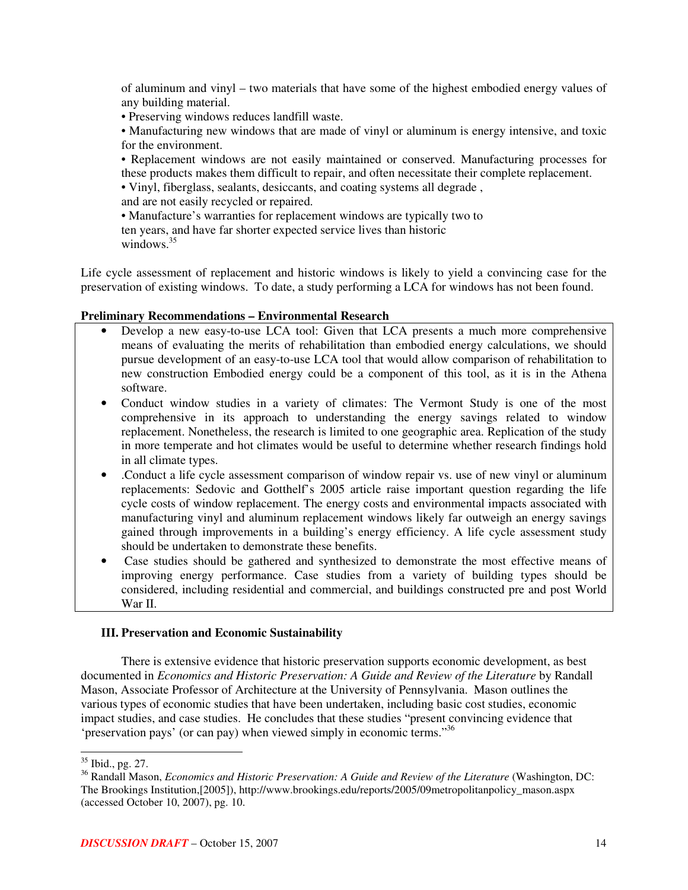of aluminum and vinyl – two materials that have some of the highest embodied energy values of any building material.

• Preserving windows reduces landfill waste.

• Manufacturing new windows that are made of vinyl or aluminum is energy intensive, and toxic for the environment.

• Replacement windows are not easily maintained or conserved. Manufacturing processes for these products makes them difficult to repair, and often necessitate their complete replacement.

• Vinyl, fiberglass, sealants, desiccants, and coating systems all degrade ,

and are not easily recycled or repaired.

• Manufacture's warranties for replacement windows are typically two to ten years, and have far shorter expected service lives than historic windows. 35

Life cycle assessment of replacement and historic windows is likely to yield a convincing case for the preservation of existing windows. To date, a study performing a LCA for windows has not been found.

## **Preliminary Recommendations – Environmental Research**

- Develop a new easy-to-use LCA tool: Given that LCA presents a much more comprehensive means of evaluating the merits of rehabilitation than embodied energy calculations, we should pursue development of an easy-to-use LCA tool that would allow comparison of rehabilitation to new construction Embodied energy could be a component of this tool, as it is in the Athena software.
- Conduct window studies in a variety of climates: The Vermont Study is one of the most comprehensive in its approach to understanding the energy savings related to window replacement. Nonetheless, the research is limited to one geographic area. Replication of the study in more temperate and hot climates would be useful to determine whether research findings hold in all climate types.
- .Conduct a life cycle assessment comparison of window repair vs. use of new vinyl or aluminum replacements: Sedovic and Gotthelf's 2005 article raise important question regarding the life cycle costs of window replacement. The energy costs and environmental impacts associated with manufacturing vinyl and aluminum replacement windows likely far outweigh an energy savings gained through improvements in a building's energy efficiency. A life cycle assessment study should be undertaken to demonstrate these benefits.
- Case studies should be gathered and synthesized to demonstrate the most effective means of improving energy performance. Case studies from a variety of building types should be considered, including residential and commercial, and buildings constructed pre and post World War II.

## **III. Preservation and Economic Sustainability**

There is extensive evidence that historic preservation supports economic development, as best documented in *Economics and Historic Preservation: A Guide and Review of the Literature* by Randall Mason, Associate Professor of Architecture at the University of Pennsylvania. Mason outlines the various types of economic studies that have been undertaken, including basic cost studies, economic impact studies, and case studies. He concludes that these studies "present convincing evidence that 'preservation pays' (or can pay) when viewed simply in economic terms."<sup>36</sup>

<sup>&</sup>lt;sup>35</sup> Ibid., pg. 27.

<sup>36</sup> Randall Mason, *Economics and Historic Preservation: A Guide and Review of the Literature* (Washington, DC: The Brookings Institution,[2005]), http://www.brookings.edu/reports/2005/09metropolitanpolicy\_mason.aspx (accessed October 10, 2007), pg. 10.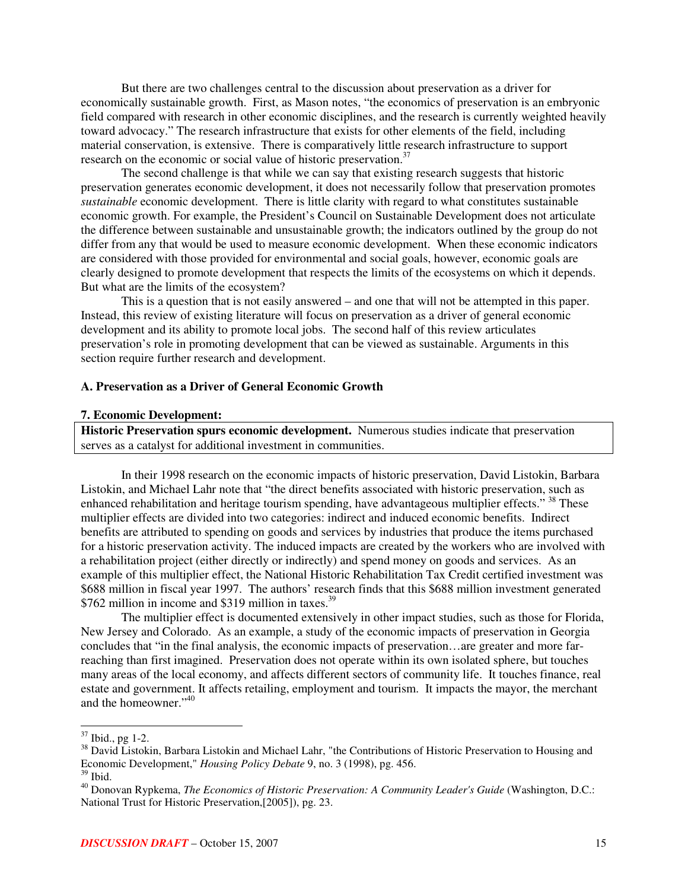But there are two challenges central to the discussion about preservation as a driver for economically sustainable growth. First, as Mason notes, "the economics of preservation is an embryonic field compared with research in other economic disciplines, and the research is currently weighted heavily toward advocacy." The research infrastructure that exists for other elements of the field, including material conservation, is extensive. There is comparatively little research infrastructure to support research on the economic or social value of historic preservation.<sup>37</sup>

The second challenge is that while we can say that existing research suggests that historic preservation generates economic development, it does not necessarily follow that preservation promotes *sustainable* economic development. There is little clarity with regard to what constitutes sustainable economic growth. For example, the President's Council on Sustainable Development does not articulate the difference between sustainable and unsustainable growth; the indicators outlined by the group do not differ from any that would be used to measure economic development. When these economic indicators are considered with those provided for environmental and social goals, however, economic goals are clearly designed to promote development that respects the limits of the ecosystems on which it depends. But what are the limits of the ecosystem?

This is a question that is not easily answered – and one that will not be attempted in this paper. Instead, this review of existing literature will focus on preservation as a driver of general economic development and its ability to promote local jobs. The second half of this review articulates preservation's role in promoting development that can be viewed as sustainable. Arguments in this section require further research and development.

#### **A. Preservation as a Driver of General Economic Growth**

#### **7. Economic Development:**

**Historic Preservation spurs economic development.** Numerous studies indicate that preservation serves as a catalyst for additional investment in communities.

In their 1998 research on the economic impacts of historic preservation, David Listokin, Barbara Listokin, and Michael Lahr note that "the direct benefits associated with historic preservation, such as enhanced rehabilitation and heritage tourism spending, have advantageous multiplier effects." <sup>38</sup> These multiplier effects are divided into two categories: indirect and induced economic benefits. Indirect benefits are attributed to spending on goods and services by industries that produce the items purchased for a historic preservation activity. The induced impacts are created by the workers who are involved with a rehabilitation project (either directly or indirectly) and spend money on goods and services. As an example of this multiplier effect, the National Historic Rehabilitation Tax Credit certified investment was \$688 million in fiscal year 1997. The authors' research finds that this \$688 million investment generated \$762 million in income and \$319 million in taxes.<sup>39</sup>

The multiplier effect is documented extensively in other impact studies, such as those for Florida, New Jersey and Colorado. As an example, a study of the economic impacts of preservation in Georgia concludes that "in the final analysis, the economic impacts of preservation…are greater and more farreaching than first imagined. Preservation does not operate within its own isolated sphere, but touches many areas of the local economy, and affects different sectors of community life. It touches finance, real estate and government. It affects retailing, employment and tourism. It impacts the mayor, the merchant and the homeowner." 40

 $37$  Ibid., pg 1-2.

<sup>&</sup>lt;sup>38</sup> David Listokin, Barbara Listokin and Michael Lahr, "the Contributions of Historic Preservation to Housing and Economic Development," *Housing Policy Debate* 9, no. 3 (1998), pg. 456. 39 Ibid.

<sup>40</sup> Donovan Rypkema, *The Economics of Historic Preservation: A Community Leader's Guide* (Washington, D.C.: National Trust for Historic Preservation,[2005]), pg. 23.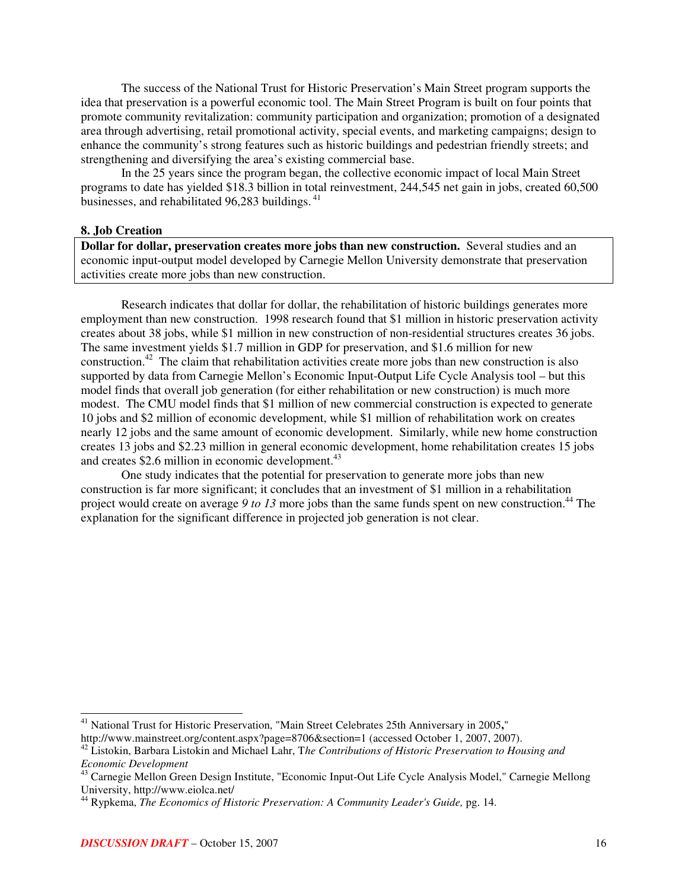The success of the National Trust for Historic Preservation's Main Street program supports the idea that preservation is a powerful economic tool. The Main Street Program is built on four points that promote community revitalization: community participation and organization; promotion of a designated area through advertising, retail promotional activity, special events, and marketing campaigns; design to enhance the community's strong features such as historic buildings and pedestrian friendly streets; and strengthening and diversifying the area's existing commercial base.

In the 25 years since the program began, the collective economic impact of local Main Street programs to date has yielded \$18.3 billion in total reinvestment, 244,545 net gain in jobs, created 60,500 businesses, and rehabilitated 96,283 buildings.<sup>41</sup>

#### **8. Job Creation**

**Dollar for dollar, preservation creates more jobs than new construction.** Several studies and an economic input-output model developed by Carnegie Mellon University demonstrate that preservation activities create more jobs than new construction.

Research indicates that dollar for dollar, the rehabilitation of historic buildings generates more employment than new construction. 1998 research found that \$1 million in historic preservation activity creates about 38 jobs, while \$1 million in new construction of non-residential structures creates 36 jobs. The same investment yields \$1.7 million in GDP for preservation, and \$1.6 million for new construction.<sup>42</sup> The claim that rehabilitation activities create more jobs than new construction is also supported by data from Carnegie Mellon's Economic Input-Output Life Cycle Analysis tool – but this model finds that overall job generation (for either rehabilitation or new construction) is much more modest. The CMU model finds that \$1 million of new commercial construction is expected to generate 10 jobs and \$2 million of economic development, while \$1 million of rehabilitation work on creates nearly 12 jobs and the same amount of economic development. Similarly, while new home construction creates 13 jobs and \$2.23 million in general economic development, home rehabilitation creates 15 jobs and creates \$2.6 million in economic development.<sup>43</sup>

One study indicates that the potential for preservation to generate more jobs than new construction is far more significant; it concludes that an investment of \$1 million in a rehabilitation project would create on average *9 to 13* more jobs than the same funds spent on new construction. <sup>44</sup> The explanation for the significant difference in projected job generation is not clear.

<sup>41</sup> National Trust for Historic Preservation, "Main Street Celebrates 25th Anniversary in 2005**,**"

http://www.mainstreet.org/content.aspx?page=8706&section=1 (accessed October 1, 2007, 2007).

<sup>42</sup> Listokin, Barbara Listokin and Michael Lahr, T*he Contributions of Historic Preservation to Housing and Economic Development*

<sup>&</sup>lt;sup>43</sup> Carnegie Mellon Green Design Institute, "Economic Input-Out Life Cycle Analysis Model," Carnegie Mellong University, http://www.eiolca.net/

<sup>44</sup> Rypkema, *The Economics of Historic Preservation: A Community Leader's Guide,* pg. 14.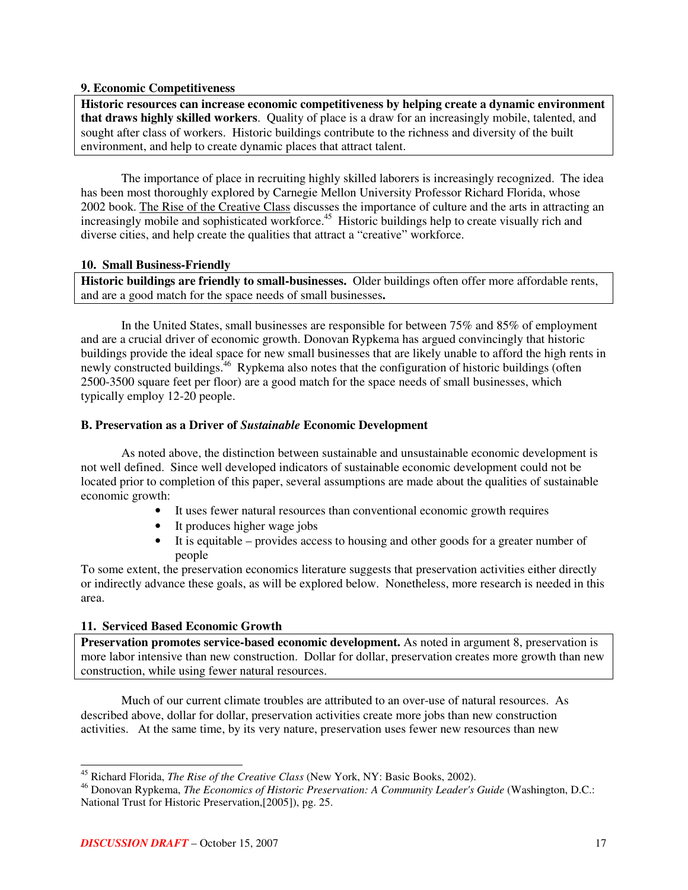## **9. Economic Competitiveness**

**Historic resources can increase economic competitiveness by helping create a dynamic environment that draws highly skilled workers**. Quality of place is a draw for an increasingly mobile, talented, and sought after class of workers. Historic buildings contribute to the richness and diversity of the built environment, and help to create dynamic places that attract talent.

The importance of place in recruiting highly skilled laborers is increasingly recognized. The idea has been most thoroughly explored by Carnegie Mellon University Professor Richard Florida, whose 2002 book. The Rise of the Creative Class discusses the importance of culture and the arts in attracting an increasingly mobile and sophisticated workforce. <sup>45</sup> Historic buildings help to create visually rich and diverse cities, and help create the qualities that attract a "creative" workforce.

## **10. Small Business-Friendly**

**Historic buildings are friendly to small-businesses.** Older buildings often offer more affordable rents, and are a good match for the space needs of small businesses**.**

In the United States, small businesses are responsible for between 75% and 85% of employment and are a crucial driver of economic growth. Donovan Rypkema has argued convincingly that historic buildings provide the ideal space for new small businesses that are likely unable to afford the high rents in newly constructed buildings.<sup>46</sup> Rypkema also notes that the configuration of historic buildings (often 2500-3500 square feet per floor) are a good match for the space needs of small businesses, which typically employ 12-20 people.

## **B. Preservation as a Driver of** *Sustainable* **Economic Development**

As noted above, the distinction between sustainable and unsustainable economic development is not well defined. Since well developed indicators of sustainable economic development could not be located prior to completion of this paper, several assumptions are made about the qualities of sustainable economic growth:

- It uses fewer natural resources than conventional economic growth requires
- It produces higher wage jobs
- It is equitable provides access to housing and other goods for a greater number of people

To some extent, the preservation economics literature suggests that preservation activities either directly or indirectly advance these goals, as will be explored below. Nonetheless, more research is needed in this area.

## **11. Serviced Based Economic Growth**

**Preservation promotes service-based economic development.** As noted in argument 8, preservation is more labor intensive than new construction. Dollar for dollar, preservation creates more growth than new construction, while using fewer natural resources.

Much of our current climate troubles are attributed to an over-use of natural resources. As described above, dollar for dollar, preservation activities create more jobs than new construction activities. At the same time, by its very nature, preservation uses fewer new resources than new

<sup>45</sup> Richard Florida, *The Rise of the Creative Class* (New York, NY: Basic Books, 2002).

<sup>46</sup> Donovan Rypkema, *The Economics of Historic Preservation: A Community Leader's Guide* (Washington, D.C.: National Trust for Historic Preservation,[2005]), pg. 25.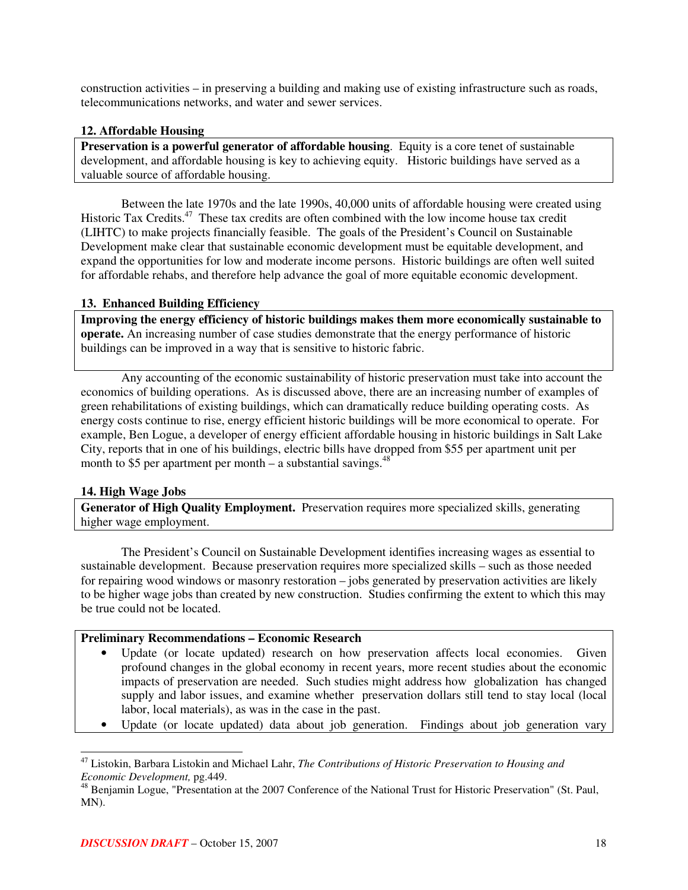construction activities – in preserving a building and making use of existing infrastructure such as roads, telecommunications networks, and water and sewer services.

## **12. Affordable Housing**

**Preservation is a powerful generator of affordable housing**. Equity is a core tenet of sustainable development, and affordable housing is key to achieving equity. Historic buildings have served as a valuable source of affordable housing.

Between the late 1970s and the late 1990s, 40,000 units of affordable housing were created using Historic Tax Credits.<sup>47</sup> These tax credits are often combined with the low income house tax credit (LIHTC) to make projects financially feasible. The goals of the President's Council on Sustainable Development make clear that sustainable economic development must be equitable development, and expand the opportunities for low and moderate income persons. Historic buildings are often well suited for affordable rehabs, and therefore help advance the goal of more equitable economic development.

## **13. Enhanced Building Efficiency**

**Improving the energy efficiency of historic buildings makes them more economically sustainable to operate.** An increasing number of case studies demonstrate that the energy performance of historic buildings can be improved in a way that is sensitive to historic fabric.

Any accounting of the economic sustainability of historic preservation must take into account the economics of building operations. As is discussed above, there are an increasing number of examples of green rehabilitations of existing buildings, which can dramatically reduce building operating costs. As energy costs continue to rise, energy efficient historic buildings will be more economical to operate. For example, Ben Logue, a developer of energy efficient affordable housing in historic buildings in Salt Lake City, reports that in one of his buildings, electric bills have dropped from \$55 per apartment unit per month to \$5 per apartment per month  $-$  a substantial savings.<sup>48</sup>

## **14. High Wage Jobs**

**Generator of High Quality Employment.** Preservation requires more specialized skills, generating higher wage employment.

The President's Council on Sustainable Development identifies increasing wages as essential to sustainable development. Because preservation requires more specialized skills – such as those needed for repairing wood windows or masonry restoration – jobs generated by preservation activities are likely to be higher wage jobs than created by new construction. Studies confirming the extent to which this may be true could not be located.

## **Preliminary Recommendations – Economic Research**

- Update (or locate updated) research on how preservation affects local economies. Given profound changes in the global economy in recent years, more recent studies about the economic impacts of preservation are needed. Such studies might address how globalization has changed supply and labor issues, and examine whether preservation dollars still tend to stay local (local labor, local materials), as was in the case in the past.
- Update (or locate updated) data about job generation. Findings about job generation vary

<sup>47</sup> Listokin, Barbara Listokin and Michael Lahr, *The Contributions of Historic Preservation to Housing and Economic Development,* pg.449.

<sup>&</sup>lt;sup>48</sup> Beniamin Logue, "Presentation at the 2007 Conference of the National Trust for Historic Preservation" (St. Paul, MN).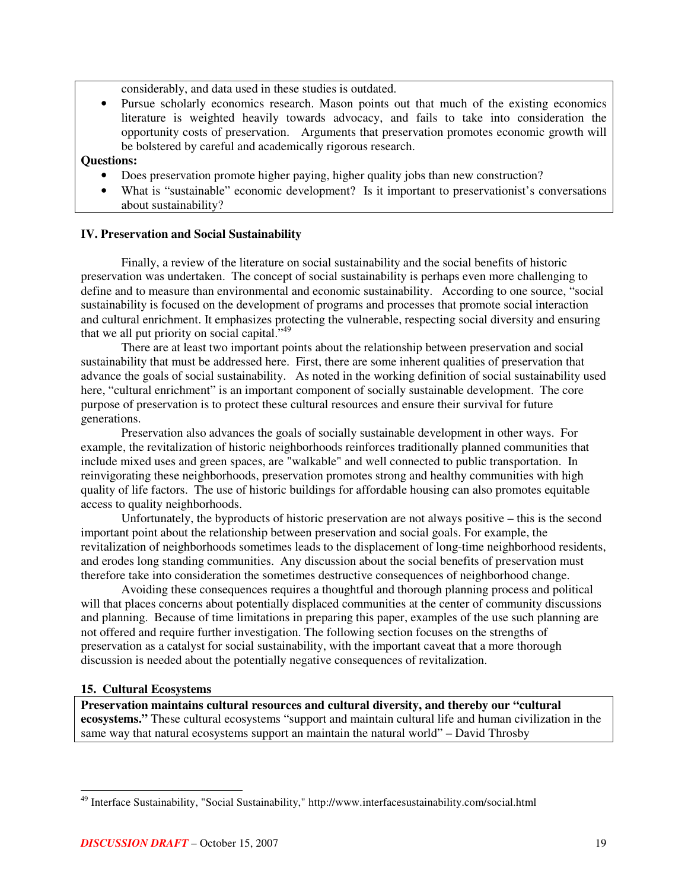considerably, and data used in these studies is outdated.

• Pursue scholarly economics research. Mason points out that much of the existing economics literature is weighted heavily towards advocacy, and fails to take into consideration the opportunity costs of preservation. Arguments that preservation promotes economic growth will be bolstered by careful and academically rigorous research.

## **Questions:**

- Does preservation promote higher paying, higher quality jobs than new construction?
- What is "sustainable" economic development? Is it important to preservationist's conversations about sustainability?

## **IV. Preservation and Social Sustainability**

Finally, a review of the literature on social sustainability and the social benefits of historic preservation was undertaken. The concept of social sustainability is perhaps even more challenging to define and to measure than environmental and economic sustainability. According to one source, "social sustainability is focused on the development of programs and processes that promote social interaction and cultural enrichment. It emphasizes protecting the vulnerable, respecting social diversity and ensuring that we all put priority on social capital."<sup>49</sup>

There are at least two important points about the relationship between preservation and social sustainability that must be addressed here. First, there are some inherent qualities of preservation that advance the goals of social sustainability. As noted in the working definition of social sustainability used here, "cultural enrichment" is an important component of socially sustainable development. The core purpose of preservation is to protect these cultural resources and ensure their survival for future generations.

Preservation also advances the goals of socially sustainable development in other ways. For example, the revitalization of historic neighborhoods reinforces traditionally planned communities that include mixed uses and green spaces, are "walkable" and well connected to public transportation. In reinvigorating these neighborhoods, preservation promotes strong and healthy communities with high quality of life factors. The use of historic buildings for affordable housing can also promotes equitable access to quality neighborhoods.

Unfortunately, the byproducts of historic preservation are not always positive – this is the second important point about the relationship between preservation and social goals. For example, the revitalization of neighborhoods sometimes leads to the displacement of long-time neighborhood residents, and erodes long standing communities. Any discussion about the social benefits of preservation must therefore take into consideration the sometimes destructive consequences of neighborhood change.

Avoiding these consequences requires a thoughtful and thorough planning process and political will that places concerns about potentially displaced communities at the center of community discussions and planning. Because of time limitations in preparing this paper, examples of the use such planning are not offered and require further investigation. The following section focuses on the strengths of preservation as a catalyst for social sustainability, with the important caveat that a more thorough discussion is needed about the potentially negative consequences of revitalization.

## **15. Cultural Ecosystems**

**Preservation maintains cultural resources and cultural diversity, and thereby our "cultural ecosystems."** These cultural ecosystems "support and maintain cultural life and human civilization in the same way that natural ecosystems support an maintain the natural world" – David Throsby

<sup>&</sup>lt;sup>49</sup> Interface Sustainability, "Social Sustainability," http://www.interfacesustainability.com/social.html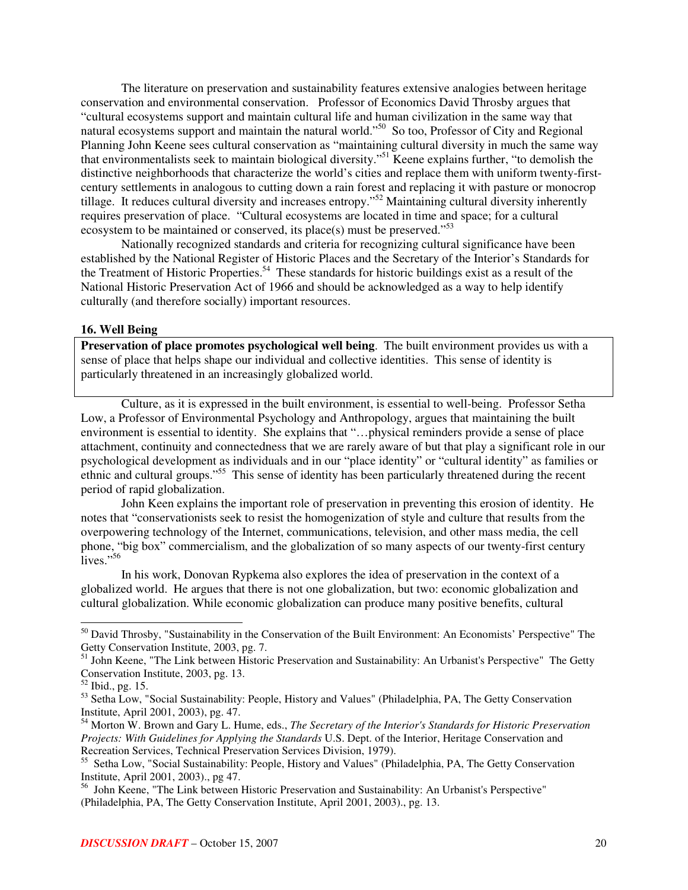The literature on preservation and sustainability features extensive analogies between heritage conservation and environmental conservation. Professor of Economics David Throsby argues that "cultural ecosystems support and maintain cultural life and human civilization in the same way that natural ecosystems support and maintain the natural world."<sup>50</sup> So too, Professor of City and Regional Planning John Keene sees cultural conservation as "maintaining cultural diversity in much the same way that environmentalists seek to maintain biological diversity." <sup>51</sup> Keene explains further, "to demolish the distinctive neighborhoods that characterize the world's cities and replace them with uniform twenty-firstcentury settlements in analogous to cutting down a rain forest and replacing it with pasture or monocrop tillage. It reduces cultural diversity and increases entropy."<sup>52</sup> Maintaining cultural diversity inherently requires preservation of place. "Cultural ecosystems are located in time and space; for a cultural ecosystem to be maintained or conserved, its place(s) must be preserved."<sup>53</sup>

Nationally recognized standards and criteria for recognizing cultural significance have been established by the National Register of Historic Places and the Secretary of the Interior's Standards for the Treatment of Historic Properties.<sup>54</sup> These standards for historic buildings exist as a result of the National Historic Preservation Act of 1966 and should be acknowledged as a way to help identify culturally (and therefore socially) important resources.

#### **16. Well Being**

**Preservation of place promotes psychological well being**. The built environment provides us with a sense of place that helps shape our individual and collective identities. This sense of identity is particularly threatened in an increasingly globalized world.

Culture, as it is expressed in the built environment, is essential to well-being. Professor Setha Low, a Professor of Environmental Psychology and Anthropology, argues that maintaining the built environment is essential to identity. She explains that "…physical reminders provide a sense of place attachment, continuity and connectedness that we are rarely aware of but that play a significant role in our psychological development as individuals and in our "place identity" or "cultural identity" as families or ethnic and cultural groups."<sup>55</sup> This sense of identity has been particularly threatened during the recent period of rapid globalization.

John Keen explains the important role of preservation in preventing this erosion of identity. He notes that "conservationists seek to resist the homogenization of style and culture that results from the overpowering technology of the Internet, communications, television, and other mass media, the cell phone, "big box" commercialism, and the globalization of so many aspects of our twenty-first century lives." 56

In his work, Donovan Rypkema also explores the idea of preservation in the context of a globalized world. He argues that there is not one globalization, but two: economic globalization and cultural globalization. While economic globalization can produce many positive benefits, cultural

<sup>&</sup>lt;sup>50</sup> David Throsby, "Sustainability in the Conservation of the Built Environment: An Economists' Perspective" The

Getty Conservation Institute, 2003, pg. 7.<br><sup>51</sup> John Keene, "The Link between Historic Preservation and Sustainability: An Urbanist's Perspective" The Getty Conservation Institute, 2003, pg. 13.

<sup>52</sup> Ibid., pg. 15.

<sup>53</sup> Setha Low, "Social Sustainability: People, History and Values" (Philadelphia, PA, The Getty Conservation Institute, April 2001, 2003), pg. 47.

<sup>54</sup> Morton W. Brown and Gary L. Hume, eds., *The Secretary of the Interior's Standards for Historic Preservation Projects: With Guidelines for Applying the Standards* U.S. Dept. of the Interior, Heritage Conservation and Recreation Services, Technical Preservation Services Division, 1979).

<sup>&</sup>lt;sup>55</sup> Setha Low, "Social Sustainability: People, History and Values" (Philadelphia, PA, The Getty Conservation

Institute, April 2001, 2003)., pg 47. 56 John Keene, "The Link between Historic Preservation and Sustainability: An Urbanist's Perspective" (Philadelphia, PA, The Getty Conservation Institute, April 2001, 2003)., pg. 13.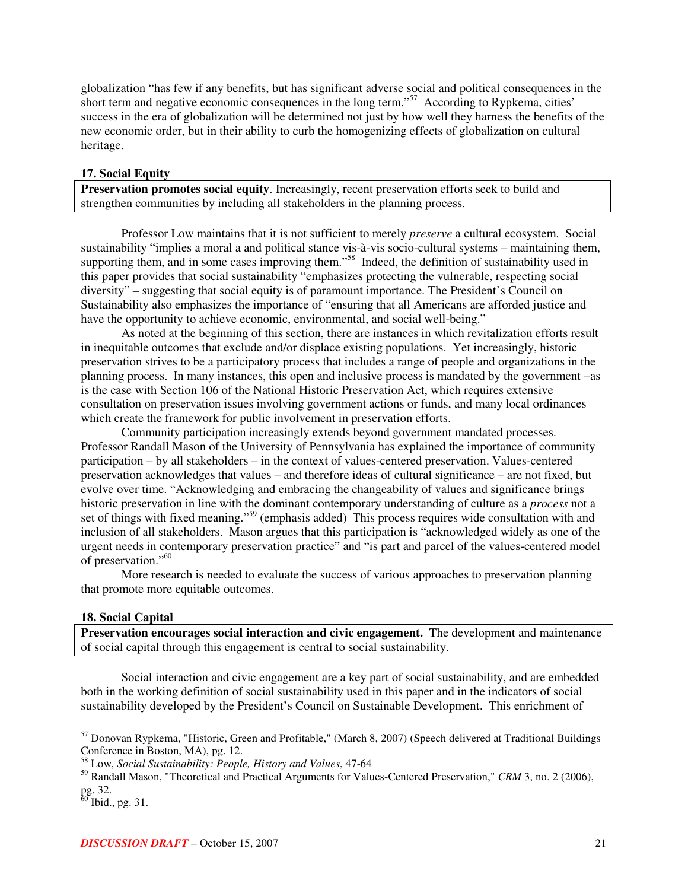globalization "has few if any benefits, but has significant adverse social and political consequences in the short term and negative economic consequences in the long term."<sup>57</sup> According to Rypkema, cities' success in the era of globalization will be determined not just by how well they harness the benefits of the new economic order, but in their ability to curb the homogenizing effects of globalization on cultural heritage.

#### **17. Social Equity**

**Preservation promotes social equity**. Increasingly, recent preservation efforts seek to build and strengthen communities by including all stakeholders in the planning process.

Professor Low maintains that it is not sufficient to merely *preserve* a cultural ecosystem. Social sustainability "implies a moral a and political stance vis-à-vis socio-cultural systems – maintaining them, supporting them, and in some cases improving them."<sup>58</sup> Indeed, the definition of sustainability used in this paper provides that social sustainability "emphasizes protecting the vulnerable, respecting social diversity" – suggesting that social equity is of paramount importance. The President's Council on Sustainability also emphasizes the importance of "ensuring that all Americans are afforded justice and have the opportunity to achieve economic, environmental, and social well-being."

As noted at the beginning of this section, there are instances in which revitalization efforts result in inequitable outcomes that exclude and/or displace existing populations. Yet increasingly, historic preservation strives to be a participatory process that includes a range of people and organizations in the planning process. In many instances, this open and inclusive process is mandated by the government –as is the case with Section 106 of the National Historic Preservation Act, which requires extensive consultation on preservation issues involving government actions or funds, and many local ordinances which create the framework for public involvement in preservation efforts.

Community participation increasingly extends beyond government mandated processes. Professor Randall Mason of the University of Pennsylvania has explained the importance of community participation – by all stakeholders – in the context of values-centered preservation. Values-centered preservation acknowledges that values – and therefore ideas of cultural significance – are not fixed, but evolve over time. "Acknowledging and embracing the changeability of values and significance brings historic preservation in line with the dominant contemporary understanding of culture as a *process* not a set of things with fixed meaning."<sup>59</sup> (emphasis added) This process requires wide consultation with and inclusion of all stakeholders. Mason argues that this participation is "acknowledged widely as one of the urgent needs in contemporary preservation practice" and "is part and parcel of the values-centered model of preservation." 60

More research is needed to evaluate the success of various approaches to preservation planning that promote more equitable outcomes.

#### **18. Social Capital**

**Preservation encourages social interaction and civic engagement.** The development and maintenance of social capital through this engagement is central to social sustainability.

Social interaction and civic engagement are a key part of social sustainability, and are embedded both in the working definition of social sustainability used in this paper and in the indicators of social sustainability developed by the President's Council on Sustainable Development. This enrichment of

<sup>57</sup> Donovan Rypkema, "Historic, Green and Profitable," (March 8, 2007) (Speech delivered at Traditional Buildings Conference in Boston, MA), pg. 12.

<sup>58</sup> Low, *Social Sustainability: People, History and Values*, 47-64

<sup>59</sup> Randall Mason, "Theoretical and Practical Arguments for Values-Centered Preservation," *CRM* 3, no. 2 (2006), pg. 32.<br><sup>60</sup> Ibid., pg. 31.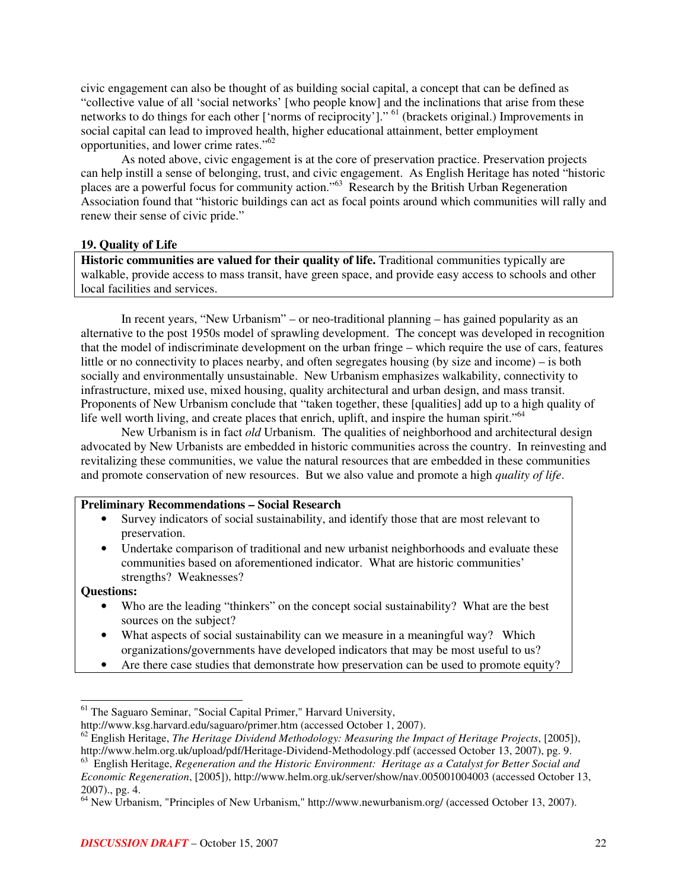civic engagement can also be thought of as building social capital, a concept that can be defined as "collective value of all 'social networks' [who people know] and the inclinations that arise from these networks to do things for each other ['norms of reciprocity']." <sup>61</sup> (brackets original.) Improvements in social capital can lead to improved health, higher educational attainment, better employment opportunities, and lower crime rates."<sup>62</sup>

As noted above, civic engagement is at the core of preservation practice. Preservation projects can help instill a sense of belonging, trust, and civic engagement. As English Heritage has noted "historic places are a powerful focus for community action."<sup>63</sup> Research by the British Urban Regeneration Association found that "historic buildings can act as focal points around which communities will rally and renew their sense of civic pride."

## **19. Quality of Life**

**Historic communities are valued for their quality of life.** Traditional communities typically are walkable, provide access to mass transit, have green space, and provide easy access to schools and other local facilities and services.

In recent years, "New Urbanism" – or neo-traditional planning – has gained popularity as an alternative to the post 1950s model of sprawling development. The concept was developed in recognition that the model of indiscriminate development on the urban fringe – which require the use of cars, features little or no connectivity to places nearby, and often segregates housing (by size and income) – is both socially and environmentally unsustainable. New Urbanism emphasizes walkability, connectivity to infrastructure, mixed use, mixed housing, quality architectural and urban design, and mass transit. Proponents of New Urbanism conclude that "taken together, these [qualities] add up to a high quality of life well worth living, and create places that enrich, uplift, and inspire the human spirit."<sup>64</sup>

New Urbanism is in fact *old* Urbanism. The qualities of neighborhood and architectural design advocated by New Urbanists are embedded in historic communities across the country. In reinvesting and revitalizing these communities, we value the natural resources that are embedded in these communities and promote conservation of new resources. But we also value and promote a high *quality of life*.

## **Preliminary Recommendations – Social Research**

- Survey indicators of social sustainability, and identify those that are most relevant to preservation.
- Undertake comparison of traditional and new urbanist neighborhoods and evaluate these communities based on aforementioned indicator. What are historic communities' strengths? Weaknesses?

#### **Questions:**

- Who are the leading "thinkers" on the concept social sustainability? What are the best sources on the subject?
- What aspects of social sustainability can we measure in a meaningful way? Which organizations/governments have developed indicators that may be most useful to us?
- Are there case studies that demonstrate how preservation can be used to promote equity?

http://www.ksg.harvard.edu/saguaro/primer.htm (accessed October 1, 2007).

<sup>&</sup>lt;sup>61</sup> The Saguaro Seminar, "Social Capital Primer," Harvard University,

<sup>62</sup> English Heritage, *The Heritage Dividend Methodology: Measuring the Impact of Heritage Projects*, [2005]), http://www.helm.org.uk/upload/pdf/Heritage-Dividend-Methodology.pdf (accessed October 13, 2007), pg. 9.

<sup>63</sup> English Heritage, *Regeneration and the Historic Environment: Heritage as a Catalyst for Better Social and Economic Regeneration*, [2005]), http://www.helm.org.uk/server/show/nav.005001004003 (accessed October 13, 2007)., pg. 4.

<sup>64</sup> New Urbanism, "Principles of New Urbanism," http://www.newurbanism.org/ (accessed October 13, 2007).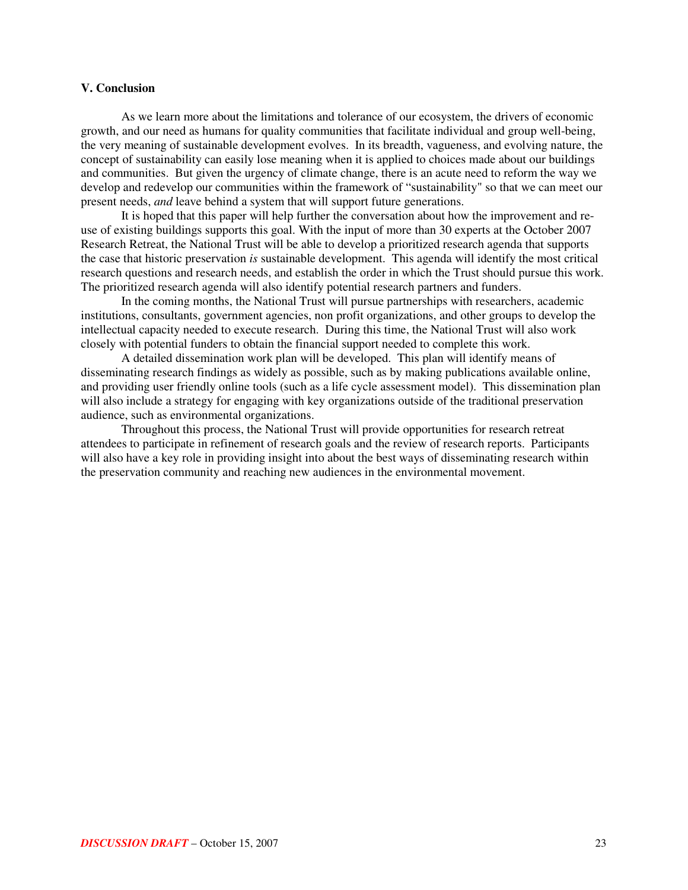#### **V. Conclusion**

As we learn more about the limitations and tolerance of our ecosystem, the drivers of economic growth, and our need as humans for quality communities that facilitate individual and group well-being, the very meaning of sustainable development evolves. In its breadth, vagueness, and evolving nature, the concept of sustainability can easily lose meaning when it is applied to choices made about our buildings and communities. But given the urgency of climate change, there is an acute need to reform the way we develop and redevelop our communities within the framework of "sustainability" so that we can meet our present needs, *and* leave behind a system that will support future generations.

It is hoped that this paper will help further the conversation about how the improvement and reuse of existing buildings supports this goal. With the input of more than 30 experts at the October 2007 Research Retreat, the National Trust will be able to develop a prioritized research agenda that supports the case that historic preservation *is* sustainable development. This agenda will identify the most critical research questions and research needs, and establish the order in which the Trust should pursue this work. The prioritized research agenda will also identify potential research partners and funders.

In the coming months, the National Trust will pursue partnerships with researchers, academic institutions, consultants, government agencies, non profit organizations, and other groups to develop the intellectual capacity needed to execute research. During this time, the National Trust will also work closely with potential funders to obtain the financial support needed to complete this work.

A detailed dissemination work plan will be developed. This plan will identify means of disseminating research findings as widely as possible, such as by making publications available online, and providing user friendly online tools (such as a life cycle assessment model). This dissemination plan will also include a strategy for engaging with key organizations outside of the traditional preservation audience, such as environmental organizations.

Throughout this process, the National Trust will provide opportunities for research retreat attendees to participate in refinement of research goals and the review of research reports. Participants will also have a key role in providing insight into about the best ways of disseminating research within the preservation community and reaching new audiences in the environmental movement.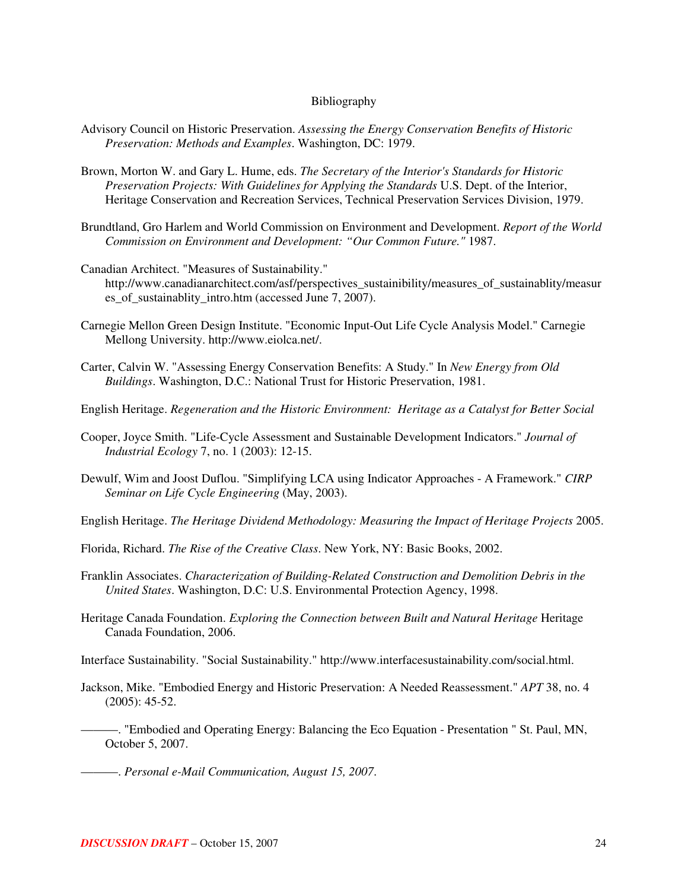#### Bibliography

- Advisory Council on Historic Preservation. *Assessing the Energy Conservation Benefits of Historic Preservation: Methods and Examples*. Washington, DC: 1979.
- Brown, Morton W. and Gary L. Hume, eds. *The Secretary of the Interior's Standards for Historic Preservation Projects: With Guidelines for Applying the Standards* U.S. Dept. of the Interior, Heritage Conservation and Recreation Services, Technical Preservation Services Division, 1979.
- Brundtland, Gro Harlem and World Commission on Environment and Development. *Report of the World Commission on Environment and Development: "Our Common Future."* 1987.
- Canadian Architect. "Measures of Sustainability." http://www.canadianarchitect.com/asf/perspectives\_sustainibility/measures\_of\_sustainablity/measur es of sustainablity intro.htm (accessed June 7, 2007).
- Carnegie Mellon Green Design Institute. "Economic Input-Out Life Cycle Analysis Model." Carnegie Mellong University. http://www.eiolca.net/.
- Carter, Calvin W. "Assessing Energy Conservation Benefits: A Study." In *New Energy from Old Buildings*. Washington, D.C.: National Trust for Historic Preservation, 1981.
- English Heritage. *Regeneration and the Historic Environment: Heritage as a Catalyst for Better Social*
- Cooper, Joyce Smith. "Life-Cycle Assessment and Sustainable Development Indicators." *Journal of Industrial Ecology* 7, no. 1 (2003): 12-15.
- Dewulf, Wim and Joost Duflou. "Simplifying LCA using Indicator Approaches A Framework." *CIRP Seminar on Life Cycle Engineering* (May, 2003).
- English Heritage. *The Heritage Dividend Methodology: Measuring the Impact of Heritage Projects* 2005.
- Florida, Richard. *The Rise of the Creative Class*. New York, NY: Basic Books, 2002.
- Franklin Associates. *Characterization of Building-Related Construction and Demolition Debris in the United States*. Washington, D.C: U.S. Environmental Protection Agency, 1998.
- Heritage Canada Foundation. *Exploring the Connection between Built and Natural Heritage* Heritage Canada Foundation, 2006.
- Interface Sustainability. "Social Sustainability." http://www.interfacesustainability.com/social.html.
- Jackson, Mike. "Embodied Energy and Historic Preservation: A Needed Reassessment." *APT* 38, no. 4 (2005): 45-52.
	- ———. "Embodied and Operating Energy: Balancing the Eco Equation Presentation " St. Paul, MN, October 5, 2007.
	- ———. *Personal e-Mail Communication, August 15, 2007*.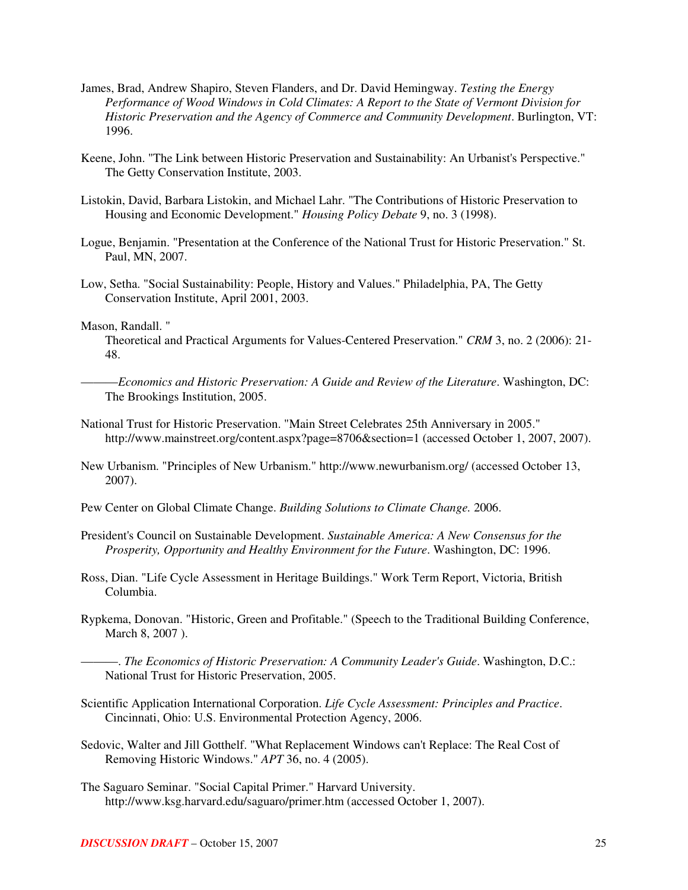- James, Brad, Andrew Shapiro, Steven Flanders, and Dr. David Hemingway. *Testing the Energy Performance of Wood Windows in Cold Climates: A Report to the State of Vermont Division for Historic Preservation and the Agency of Commerce and Community Development*. Burlington, VT: 1996.
- Keene, John. "The Link between Historic Preservation and Sustainability: An Urbanist's Perspective." The Getty Conservation Institute, 2003.
- Listokin, David, Barbara Listokin, and Michael Lahr. "The Contributions of Historic Preservation to Housing and Economic Development." *Housing Policy Debate* 9, no. 3 (1998).
- Logue, Benjamin. "Presentation at the Conference of the National Trust for Historic Preservation." St. Paul, MN, 2007.
- Low, Setha. "Social Sustainability: People, History and Values." Philadelphia, PA, The Getty Conservation Institute, April 2001, 2003.

#### Mason, Randall. "

Theoretical and Practical Arguments for Values-Centered Preservation." *CRM* 3, no. 2 (2006): 21- 48.

- ———*Economics and Historic Preservation: A Guide and Review of the Literature*. Washington, DC: The Brookings Institution, 2005.
- National Trust for Historic Preservation. "Main Street Celebrates 25th Anniversary in 2005." http://www.mainstreet.org/content.aspx?page=8706&section=1 (accessed October 1, 2007, 2007).
- New Urbanism. "Principles of New Urbanism." http://www.newurbanism.org/ (accessed October 13, 2007).
- Pew Center on Global Climate Change. *Building Solutions to Climate Change.* 2006.
- President's Council on Sustainable Development. *Sustainable America: A New Consensus for the Prosperity, Opportunity and Healthy Environment for the Future*. Washington, DC: 1996.
- Ross, Dian. "Life Cycle Assessment in Heritage Buildings." Work Term Report, Victoria, British Columbia.
- Rypkema, Donovan. "Historic, Green and Profitable." (Speech to the Traditional Building Conference, March 8, 2007 ).
- ———. *The Economics of Historic Preservation: A Community Leader's Guide*. Washington, D.C.: National Trust for Historic Preservation, 2005.
- Scientific Application International Corporation. *Life Cycle Assessment: Principles and Practice*. Cincinnati, Ohio: U.S. Environmental Protection Agency, 2006.
- Sedovic, Walter and Jill Gotthelf. "What Replacement Windows can't Replace: The Real Cost of Removing Historic Windows." *APT* 36, no. 4 (2005).
- The Saguaro Seminar. "Social Capital Primer." Harvard University. http://www.ksg.harvard.edu/saguaro/primer.htm (accessed October 1, 2007).